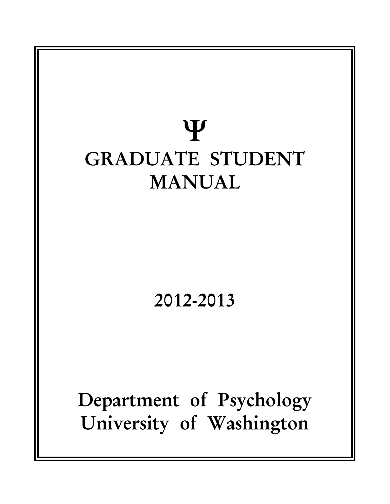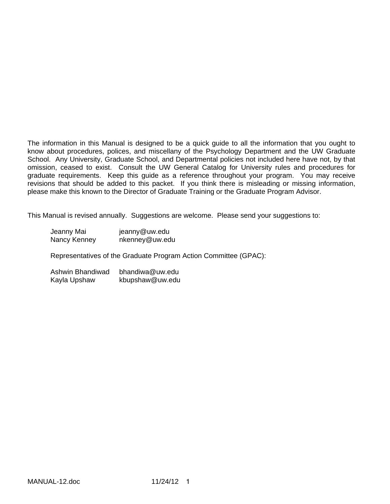The information in this Manual is designed to be a quick guide to all the information that you ought to know about procedures, polices, and miscellany of the Psychology Department and the UW Graduate School. Any University, Graduate School, and Departmental policies not included here have not, by that omission, ceased to exist. Consult the UW General Catalog for University rules and procedures for graduate requirements. Keep this guide as a reference throughout your program. You may receive revisions that should be added to this packet. If you think there is misleading or missing information, please make this known to the Director of Graduate Training or the Graduate Program Advisor.

This Manual is revised annually. Suggestions are welcome. Please send your suggestions to:

| Jeanny Mai   | jeanny@uw.edu  |
|--------------|----------------|
| Nancy Kenney | nkenney@uw.edu |

Representatives of the Graduate Program Action Committee (GPAC):

Ashwin Bhandiwad bhandiwa@uw.edu Kayla Upshaw kbupshaw@uw.edu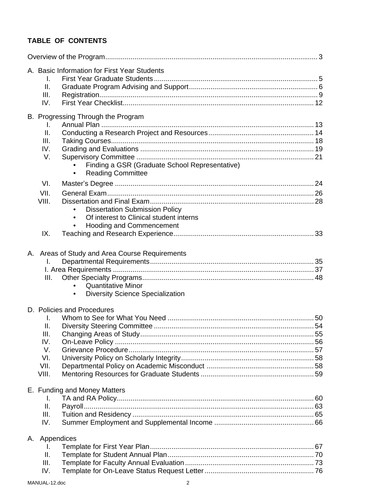# **TABLE OF CONTENTS**

|    | A. Basic Information for First Year Students<br>Τ.<br>$\mathbf{II}$ .<br>III.<br>IV.                                                                           |  |
|----|----------------------------------------------------------------------------------------------------------------------------------------------------------------|--|
|    | B. Progressing Through the Program<br>I.<br>Ш.<br>III.<br>IV.<br>V.<br>Finding a GSR (Graduate School Representative)<br><b>Reading Committee</b><br>$\bullet$ |  |
|    | VI.<br>VII.<br>VIII.<br><b>Dissertation Submission Policy</b><br>Of interest to Clinical student interns<br><b>Hooding and Commencement</b><br>IX.             |  |
|    | A. Areas of Study and Area Course Requirements<br>I.<br>III.<br><b>Quantitative Minor</b><br><b>Diversity Science Specialization</b>                           |  |
|    | D. Policies and Procedures<br>I.<br>II.<br>III.<br>IV.<br>V.<br>VI.<br>VII.<br>VIII.                                                                           |  |
|    | E. Funding and Money Matters<br>Ι.<br>II.<br>III.<br>IV.                                                                                                       |  |
| А. | Appendices<br>I.<br>Ш.<br>III.<br>IV.                                                                                                                          |  |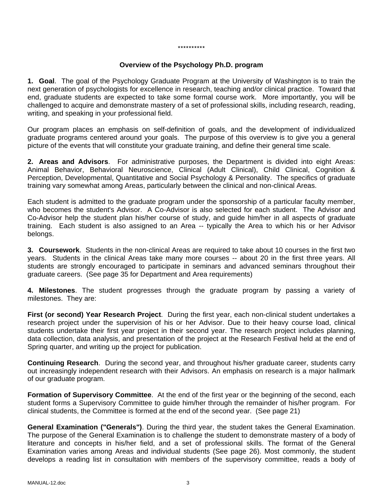#### \*\*\*\*\*\*\*\*\*\*

### **Overview of the Psychology Ph.D. program**

**1. Goal**. The goal of the Psychology Graduate Program at the University of Washington is to train the next generation of psychologists for excellence in research, teaching and/or clinical practice. Toward that end, graduate students are expected to take some formal course work. More importantly, you will be challenged to acquire and demonstrate mastery of a set of professional skills, including research, reading, writing, and speaking in your professional field.

Our program places an emphasis on self-definition of goals, and the development of individualized graduate programs centered around your goals. The purpose of this overview is to give you a general picture of the events that will constitute your graduate training, and define their general time scale.

**2. Areas and Advisors**. For administrative purposes, the Department is divided into eight Areas: Animal Behavior, Behavioral Neuroscience, Clinical (Adult Clinical), Child Clinical, Cognition & Perception, Developmental, Quantitative and Social Psychology & Personality. The specifics of graduate training vary somewhat among Areas, particularly between the clinical and non-clinical Areas.

Each student is admitted to the graduate program under the sponsorship of a particular faculty member, who becomes the student's Advisor. A Co-Advisor is also selected for each student. The Advisor and Co-Advisor help the student plan his/her course of study, and guide him/her in all aspects of graduate training. Each student is also assigned to an Area -- typically the Area to which his or her Advisor belongs.

**3. Coursework**. Students in the non-clinical Areas are required to take about 10 courses in the first two years. Students in the clinical Areas take many more courses -- about 20 in the first three years. All students are strongly encouraged to participate in seminars and advanced seminars throughout their graduate careers. (See page 35 for Department and Area requirements)

**4. Milestones**. The student progresses through the graduate program by passing a variety of milestones. They are:

**First (or second) Year Research Project**. During the first year, each non-clinical student undertakes a research project under the supervision of his or her Advisor. Due to their heavy course load, clinical students undertake their first year project in their second year. The research project includes planning, data collection, data analysis, and presentation of the project at the Research Festival held at the end of Spring quarter, and writing up the project for publication.

**Continuing Research**. During the second year, and throughout his/her graduate career, students carry out increasingly independent research with their Advisors. An emphasis on research is a major hallmark of our graduate program.

**Formation of Supervisory Committee**. At the end of the first year or the beginning of the second, each student forms a Supervisory Committee to guide him/her through the remainder of his/her program. For clinical students, the Committee is formed at the end of the second year. (See page 21)

**General Examination ("Generals")**. During the third year, the student takes the General Examination. The purpose of the General Examination is to challenge the student to demonstrate mastery of a body of literature and concepts in his/her field, and a set of professional skills. The format of the General Examination varies among Areas and individual students (See page 26). Most commonly, the student develops a reading list in consultation with members of the supervisory committee, reads a body of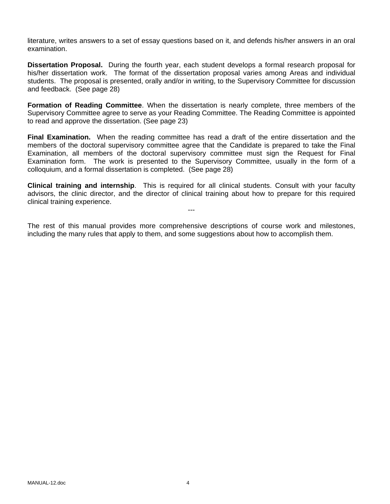literature, writes answers to a set of essay questions based on it, and defends his/her answers in an oral examination.

**Dissertation Proposal.** During the fourth year, each student develops a formal research proposal for his/her dissertation work. The format of the dissertation proposal varies among Areas and individual students. The proposal is presented, orally and/or in writing, to the Supervisory Committee for discussion and feedback. (See page 28)

**Formation of Reading Committee**. When the dissertation is nearly complete, three members of the Supervisory Committee agree to serve as your Reading Committee. The Reading Committee is appointed to read and approve the dissertation. (See page 23)

**Final Examination.** When the reading committee has read a draft of the entire dissertation and the members of the doctoral supervisory committee agree that the Candidate is prepared to take the Final Examination, all members of the doctoral supervisory committee must sign the Request for Final Examination form. The work is presented to the Supervisory Committee, usually in the form of a colloquium, and a formal dissertation is completed. (See page 28)

**Clinical training and internship**. This is required for all clinical students. Consult with your faculty advisors, the clinic director, and the director of clinical training about how to prepare for this required clinical training experience.

---

The rest of this manual provides more comprehensive descriptions of course work and milestones, including the many rules that apply to them, and some suggestions about how to accomplish them.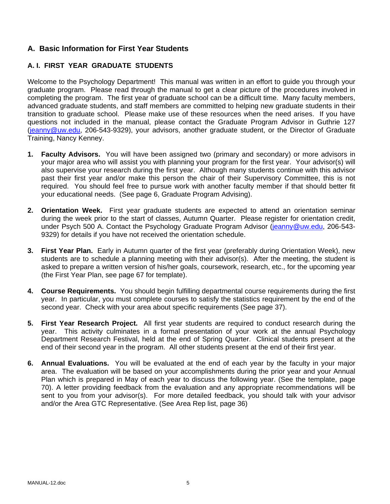## **A. Basic Information for First Year Students**

## **A. I. FIRST YEAR GRADUATE STUDENTS**

Welcome to the Psychology Department! This manual was written in an effort to guide you through your graduate program. Please read through the manual to get a clear picture of the procedures involved in completing the program. The first year of graduate school can be a difficult time. Many faculty members, advanced graduate students, and staff members are committed to helping new graduate students in their transition to graduate school. Please make use of these resources when the need arises. If you have questions not included in the manual, please contact the Graduate Program Advisor in Guthrie 127 (jeanny@uw.edu, 206-543-9329), your advisors, another graduate student, or the Director of Graduate Training, Nancy Kenney.

- **1. Faculty Advisors.** You will have been assigned two (primary and secondary) or more advisors in your major area who will assist you with planning your program for the first year. Your advisor(s) will also supervise your research during the first year. Although many students continue with this advisor past their first year and/or make this person the chair of their Supervisory Committee, this is not required. You should feel free to pursue work with another faculty member if that should better fit your educational needs. (See page 6, Graduate Program Advising).
- **2. Orientation Week.** First year graduate students are expected to attend an orientation seminar during the week prior to the start of classes, Autumn Quarter. Please register for orientation credit, under Psych 500 A. Contact the Psychology Graduate Program Advisor (jeanny@uw.edu, 206-543-9329) for details if you have not received the orientation schedule.
- **3. First Year Plan.** Early in Autumn quarter of the first year (preferably during Orientation Week), new students are to schedule a planning meeting with their advisor(s). After the meeting, the student is asked to prepare a written version of his/her goals, coursework, research, etc., for the upcoming year (the First Year Plan, see page 67 for template).
- **4. Course Requirements.** You should begin fulfilling departmental course requirements during the first year. In particular, you must complete courses to satisfy the statistics requirement by the end of the second year. Check with your area about specific requirements (See page 37).
- **5. First Year Research Project.** All first year students are required to conduct research during the year. This activity culminates in a formal presentation of your work at the annual Psychology Department Research Festival, held at the end of Spring Quarter. Clinical students present at the end of their second year in the program. All other students present at the end of their first year.
- **6. Annual Evaluations.** You will be evaluated at the end of each year by the faculty in your major area. The evaluation will be based on your accomplishments during the prior year and your Annual Plan which is prepared in May of each year to discuss the following year. (See the template, page 70). A letter providing feedback from the evaluation and any appropriate recommendations will be sent to you from your advisor(s). For more detailed feedback, you should talk with your advisor and/or the Area GTC Representative. (See Area Rep list, page 36)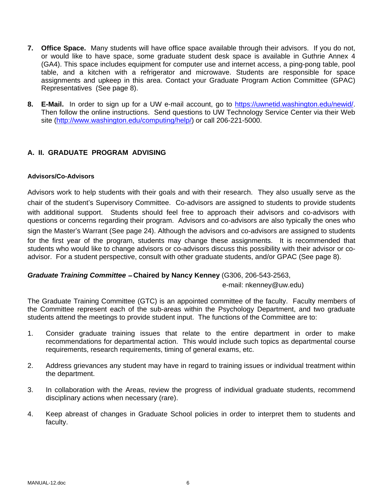- **7. Office Space.** Many students will have office space available through their advisors. If you do not, or would like to have space, some graduate student desk space is available in Guthrie Annex 4 (GA4). This space includes equipment for computer use and internet access, a ping-pong table, pool table, and a kitchen with a refrigerator and microwave. Students are responsible for space assignments and upkeep in this area. Contact your Graduate Program Action Committee (GPAC) Representatives (See page 8).
- **8. E-Mail.** In order to sign up for a UW e-mail account, go to https://uwnetid.washington.edu/newid/. Then follow the online instructions. Send questions to UW Technology Service Center via their Web site (http://www.washington.edu/computing/help/) or call 206-221-5000.

### **A. II. GRADUATE PROGRAM ADVISING**

### **Advisors/Co-Advisors**

Advisors work to help students with their goals and with their research. They also usually serve as the chair of the student's Supervisory Committee. Co-advisors are assigned to students to provide students with additional support. Students should feel free to approach their advisors and co-advisors with questions or concerns regarding their program. Advisors and co-advisors are also typically the ones who sign the Master's Warrant (See page 24). Although the advisors and co-advisors are assigned to students for the first year of the program, students may change these assignments. It is recommended that students who would like to change advisors or co-advisors discuss this possibility with their advisor or coadvisor. For a student perspective, consult with other graduate students, and/or GPAC (See page 8).

### *Graduate Training Committee* – **Chaired by Nancy Kenney** (G306, 206-543-2563,

### e-mail: nkenney@uw.edu)

The Graduate Training Committee (GTC) is an appointed committee of the faculty. Faculty members of the Committee represent each of the sub-areas within the Psychology Department, and two graduate students attend the meetings to provide student input. The functions of the Committee are to:

- 1. Consider graduate training issues that relate to the entire department in order to make recommendations for departmental action. This would include such topics as departmental course requirements, research requirements, timing of general exams, etc.
- 2. Address grievances any student may have in regard to training issues or individual treatment within the department.
- 3. In collaboration with the Areas, review the progress of individual graduate students, recommend disciplinary actions when necessary (rare).
- 4. Keep abreast of changes in Graduate School policies in order to interpret them to students and faculty.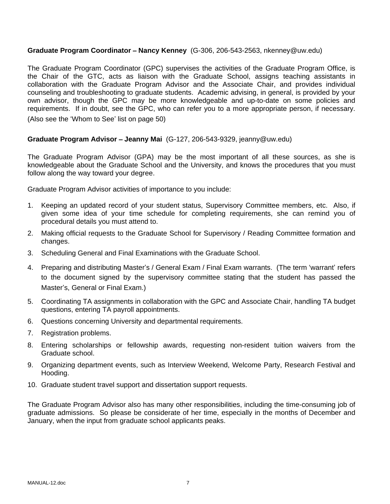### **Graduate Program Coordinator** – **Nancy Kenney** (G-306, 206-543-2563, nkenney@uw.edu)

The Graduate Program Coordinator (GPC) supervises the activities of the Graduate Program Office, is the Chair of the GTC, acts as liaison with the Graduate School, assigns teaching assistants in collaboration with the Graduate Program Advisor and the Associate Chair, and provides individual counseling and troubleshooting to graduate students. Academic advising, in general, is provided by your own advisor, though the GPC may be more knowledgeable and up-to-date on some policies and requirements. If in doubt, see the GPC, who can refer you to a more appropriate person, if necessary.

(Also see the 'Whom to See' list on page 50)

### **Graduate Program Advisor** – **Jeanny Mai** (G-127, 206-543-9329, jeanny@uw.edu)

The Graduate Program Advisor (GPA) may be the most important of all these sources, as she is knowledgeable about the Graduate School and the University, and knows the procedures that you must follow along the way toward your degree.

Graduate Program Advisor activities of importance to you include:

- 1. Keeping an updated record of your student status, Supervisory Committee members, etc. Also, if given some idea of your time schedule for completing requirements, she can remind you of procedural details you must attend to.
- 2. Making official requests to the Graduate School for Supervisory / Reading Committee formation and changes.
- 3. Scheduling General and Final Examinations with the Graduate School.
- 4. Preparing and distributing Master's / General Exam / Final Exam warrants. (The term 'warrant' refers to the document signed by the supervisory committee stating that the student has passed the Master's, General or Final Exam.)
- 5. Coordinating TA assignments in collaboration with the GPC and Associate Chair, handling TA budget questions, entering TA payroll appointments.
- 6. Questions concerning University and departmental requirements.
- 7. Registration problems.
- 8. Entering scholarships or fellowship awards, requesting non-resident tuition waivers from the Graduate school.
- 9. Organizing department events, such as Interview Weekend, Welcome Party, Research Festival and Hooding.
- 10. Graduate student travel support and dissertation support requests.

The Graduate Program Advisor also has many other responsibilities, including the time-consuming job of graduate admissions. So please be considerate of her time, especially in the months of December and January, when the input from graduate school applicants peaks.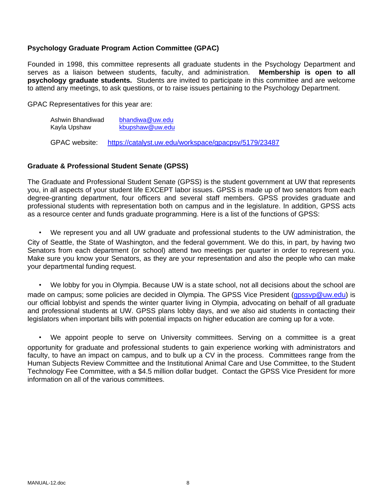### **Psychology Graduate Program Action Committee (GPAC)**

Founded in 1998, this committee represents all graduate students in the Psychology Department and serves as a liaison between students, faculty, and administration. **Membership is open to all psychology graduate students.** Students are invited to participate in this committee and are welcome to attend any meetings, to ask questions, or to raise issues pertaining to the Psychology Department.

GPAC Representatives for this year are:

Ashwin Bhandiwad bhandiwa@uw.edu Kayla Upshaw kbupshaw@uw.edu

GPAC website: https://catalyst.uw.edu/workspace/gpacpsy/5179/23487

### **Graduate & Professional Student Senate (GPSS)**

The Graduate and Professional Student Senate (GPSS) is the student government at UW that represents you, in all aspects of your student life EXCEPT labor issues. GPSS is made up of two senators from each degree-granting department, four officers and several staff members. GPSS provides graduate and professional students with representation both on campus and in the legislature. In addition, GPSS acts as a resource center and funds graduate programming. Here is a list of the functions of GPSS:

• We represent you and all UW graduate and professional students to the UW administration, the City of Seattle, the State of Washington, and the federal government. We do this, in part, by having two Senators from each department (or school) attend two meetings per quarter in order to represent you. Make sure you know your Senators, as they are your representation and also the people who can make your departmental funding request.

• We lobby for you in Olympia. Because UW is a state school, not all decisions about the school are made on campus; some policies are decided in Olympia. The GPSS Vice President (qpssvp@uw.edu) is our official lobbyist and spends the winter quarter living in Olympia, advocating on behalf of all graduate and professional students at UW. GPSS plans lobby days, and we also aid students in contacting their legislators when important bills with potential impacts on higher education are coming up for a vote.

• We appoint people to serve on University committees. Serving on a committee is a great opportunity for graduate and professional students to gain experience working with administrators and faculty, to have an impact on campus, and to bulk up a CV in the process. Committees range from the Human Subjects Review Committee and the Institutional Animal Care and Use Committee, to the Student Technology Fee Committee, with a \$4.5 million dollar budget. Contact the GPSS Vice President for more information on all of the various committees.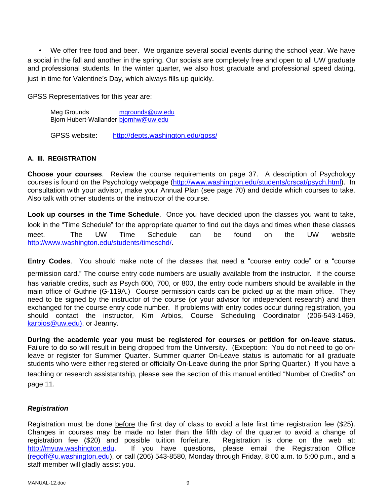• We offer free food and beer. We organize several social events during the school year. We have a social in the fall and another in the spring. Our socials are completely free and open to all UW graduate and professional students. In the winter quarter, we also host graduate and professional speed dating, just in time for Valentine's Day, which always fills up quickly.

GPSS Representatives for this year are:

Meg Grounds **mgrounds@uw.edu** Bjorn Hubert-Wallander bjornhw@uw.edu

GPSS website: http://depts.washington.edu/gpss/

### **A. III. REGISTRATION**

**Choose your courses**. Review the course requirements on page 37. A description of Psychology courses is found on the Psychology webpage (http://www.washington.edu/students/crscat/psych.html). In consultation with your advisor, make your Annual Plan (see page 70) and decide which courses to take. Also talk with other students or the instructor of the course.

**Look up courses in the Time Schedule**. Once you have decided upon the classes you want to take, look in the "Time Schedule" for the appropriate quarter to find out the days and times when these classes meet. The UW Time Schedule can be found on the UW website http://www.washington.edu/students/timeschd/.

**Entry Codes**. You should make note of the classes that need a "course entry code" or a "course

permission card." The course entry code numbers are usually available from the instructor. If the course has variable credits, such as Psych 600, 700, or 800, the entry code numbers should be available in the main office of Guthrie (G-119A.) Course permission cards can be picked up at the main office. They need to be signed by the instructor of the course (or your advisor for independent research) and then exchanged for the course entry code number. If problems with entry codes occur during registration, you should contact the instructor, Kim Arbios, Course Scheduling Coordinator (206-543-1469, karbios@uw.edu), or Jeanny.

**During the academic year you must be registered for courses or petition for on-leave status.**  Failure to do so will result in being dropped from the University. (Exception: You do not need to go onleave or register for Summer Quarter. Summer quarter On-Leave status is automatic for all graduate students who were either registered or officially On-Leave during the prior Spring Quarter.) If you have a teaching or research assistantship, please see the section of this manual entitled "Number of Credits" on page 11.

### *Registration*

Registration must be done before the first day of class to avoid a late first time registration fee (\$25). Changes in courses may be made no later than the fifth day of the quarter to avoid a change of registration fee (\$20) and possible tuition forfeiture. Registration is done on the web at: http://myuw.washington.edu. If you have questions, please email the Registration Office (regoff@u.washington.edu), or call (206) 543-8580, Monday through Friday, 8:00 a.m. to 5:00 p.m., and a staff member will gladly assist you.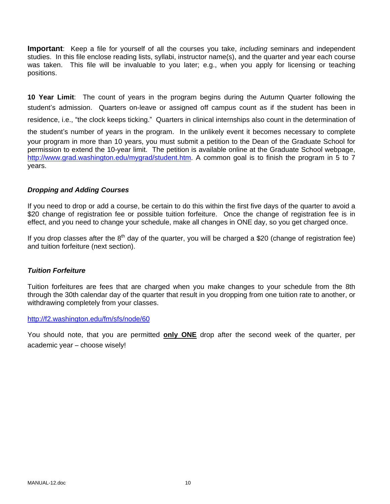**Important**: Keep a file for yourself of all the courses you take, *including* seminars and independent studies. In this file enclose reading lists, syllabi, instructor name(s), and the quarter and year each course was taken. This file will be invaluable to you later; e.g., when you apply for licensing or teaching positions.

**10 Year Limit**: The count of years in the program begins during the Autumn Quarter following the student's admission. Quarters on-leave or assigned off campus count as if the student has been in residence, i.e., "the clock keeps ticking." Quarters in clinical internships also count in the determination of the student's number of years in the program. In the unlikely event it becomes necessary to complete your program in more than 10 years, you must submit a petition to the Dean of the Graduate School for permission to extend the 10-year limit. The petition is available online at the Graduate School webpage, http://www.grad.washington.edu/mygrad/student.htm. A common goal is to finish the program in 5 to 7 years.

### *Dropping and Adding Courses*

If you need to drop or add a course, be certain to do this within the first five days of the quarter to avoid a \$20 change of registration fee or possible tuition forfeiture. Once the change of registration fee is in effect, and you need to change your schedule, make all changes in ONE day, so you get charged once.

If you drop classes after the  $8<sup>th</sup>$  day of the quarter, you will be charged a \$20 (change of registration fee) and tuition forfeiture (next section).

#### *Tuition Forfeiture*

Tuition forfeitures are fees that are charged when you make changes to your schedule from the 8th through the 30th calendar day of the quarter that result in you dropping from one tuition rate to another, or withdrawing completely from your classes.

#### http://f2.washington.edu/fm/sfs/node/60

You should note, that you are permitted **only ONE** drop after the second week of the quarter, per academic year – choose wisely!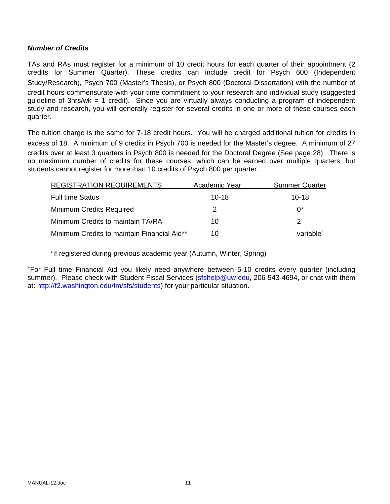### *Number of Credits*

TAs and RAs must register for a minimum of 10 credit hours for each quarter of their appointment (2 credits for Summer Quarter). These credits can include credit for Psych 600 (Independent Study/Research), Psych 700 (Master's Thesis), or Psych 800 (Doctoral Dissertation) with the number of credit hours commensurate with your time commitment to your research and individual study (suggested guideline of 3hrs/wk = 1 credit). Since you are virtually always conducting a program of independent study and research, you will generally register for several credits in one or more of these courses each quarter.

The tuition charge is the same for 7-18 credit hours. You will be charged additional tuition for credits in excess of 18. A minimum of 9 credits in Psych 700 is needed for the Master's degree. A minimum of 27 credits over at least 3 quarters in Psych 800 is needed for the Doctoral Degree (See page 28). There is no maximum number of credits for these courses, which can be earned over multiple quarters, but students cannot register for more than 10 credits of Psych 800 per quarter.

| <b>REGISTRATION REQUIREMENTS</b>            | Academic Year | <b>Summer Quarter</b> |
|---------------------------------------------|---------------|-----------------------|
| <b>Full time Status</b>                     | $10-18$       | $10-18$               |
| <b>Minimum Credits Required</b>             |               | ሰ*                    |
| Minimum Credits to maintain TA/RA           | 10            | 2                     |
| Minimum Credits to maintain Financial Aid** | 10            | variable <sup>+</sup> |

\*If registered during previous academic year (Autumn, Winter, Spring)

+ For Full time Financial Aid you likely need anywhere between 5-10 credits every quarter (including summer). Please check with Student Fiscal Services (sfshelp@uw.edu, 206-543-4694, or chat with them at: http://f2.washington.edu/fm/sfs/students) for your particular situation.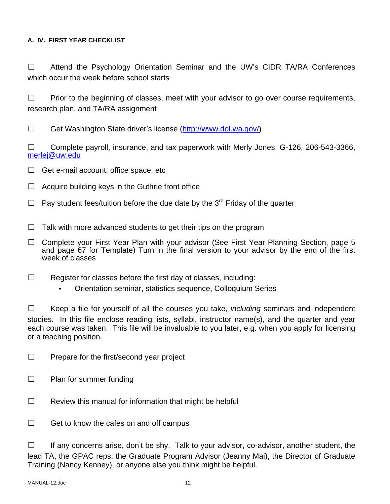## **A. IV. FIRST YEAR CHECKLIST**

□ Attend the Psychology Orientation Seminar and the UW's CIDR TA/RA Conferences which occur the week before school starts

 $\Box$  Prior to the beginning of classes, meet with your advisor to go over course requirements, research plan, and TA/RA assignment

□ Get Washington State driver's license (http://www.dol.wa.gov/)

 $\Box$  Complete payroll, insurance, and tax paperwork with Merly Jones, G-126, 206-543-3366, merlej@uw.edu

- $\Box$  Get e-mail account, office space, etc
- $\Box$  Acquire building keys in the Guthrie front office
- $\Box$  Pay student fees/tuition before the due date by the 3<sup>rd</sup> Friday of the quarter
- $\Box$  Talk with more advanced students to get their tips on the program
- □ Complete your First Year Plan with your advisor (See First Year Planning Section, page 5 and page 67 for Template) Turn in the final version to your advisor by the end of the first week of classes
- $\Box$  Register for classes before the first day of classes, including:
	- Orientation seminar, statistics sequence, Colloquium Series

 Keep a file for yourself of all the courses you take, *including* seminars and independent studies. In this file enclose reading lists, syllabi, instructor name(s), and the quarter and year each course was taken. This file will be invaluable to you later, e.g. when you apply for licensing or a teaching position.

- $\Box$  Prepare for the first/second year project
- $\Box$  Plan for summer funding
- $\Box$  Review this manual for information that might be helpful
- $\Box$  Get to know the cafes on and off campus

 $\Box$  If any concerns arise, don't be shy. Talk to your advisor, co-advisor, another student, the lead TA, the GPAC reps, the Graduate Program Advisor (Jeanny Mai), the Director of Graduate Training (Nancy Kenney), or anyone else you think might be helpful.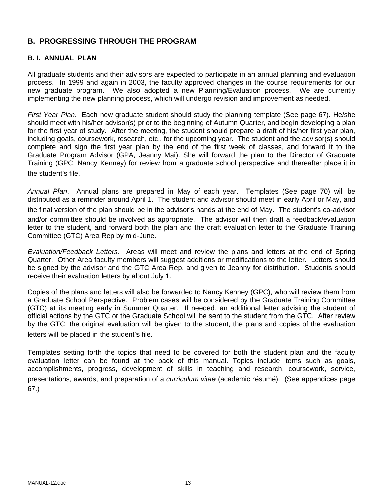## **B. PROGRESSING THROUGH THE PROGRAM**

### **B. I. ANNUAL PLAN**

All graduate students and their advisors are expected to participate in an annual planning and evaluation process. In 1999 and again in 2003, the faculty approved changes in the course requirements for our new graduate program. We also adopted a new Planning/Evaluation process. We are currently implementing the new planning process, which will undergo revision and improvement as needed.

*First Year Plan*. Each new graduate student should study the planning template (See page 67). He/she should meet with his/her advisor(s) prior to the beginning of Autumn Quarter, and begin developing a plan for the first year of study. After the meeting, the student should prepare a draft of his/her first year plan, including goals, coursework, research, etc., for the upcoming year. The student and the advisor(s) should complete and sign the first year plan by the end of the first week of classes, and forward it to the Graduate Program Advisor (GPA, Jeanny Mai). She will forward the plan to the Director of Graduate Training (GPC, Nancy Kenney) for review from a graduate school perspective and thereafter place it in the student's file.

*Annual Plan*. Annual plans are prepared in May of each year. Templates (See page 70) will be distributed as a reminder around April 1. The student and advisor should meet in early April or May, and the final version of the plan should be in the advisor's hands at the end of May. The student's co-advisor and/or committee should be involved as appropriate. The advisor will then draft a feedback/evaluation letter to the student, and forward both the plan and the draft evaluation letter to the Graduate Training Committee (GTC) Area Rep by mid-June.

*Evaluation/Feedback Letters.* Areas will meet and review the plans and letters at the end of Spring Quarter. Other Area faculty members will suggest additions or modifications to the letter. Letters should be signed by the advisor and the GTC Area Rep, and given to Jeanny for distribution. Students should receive their evaluation letters by about July 1.

Copies of the plans and letters will also be forwarded to Nancy Kenney (GPC), who will review them from a Graduate School Perspective. Problem cases will be considered by the Graduate Training Committee (GTC) at its meeting early in Summer Quarter. If needed, an additional letter advising the student of official actions by the GTC or the Graduate School will be sent to the student from the GTC. After review by the GTC, the original evaluation will be given to the student, the plans and copies of the evaluation letters will be placed in the student's file.

Templates setting forth the topics that need to be covered for both the student plan and the faculty evaluation letter can be found at the back of this manual. Topics include items such as goals, accomplishments, progress, development of skills in teaching and research, coursework, service, presentations, awards, and preparation of a *curriculum vitae* (academic résumé). (See appendices page 67.)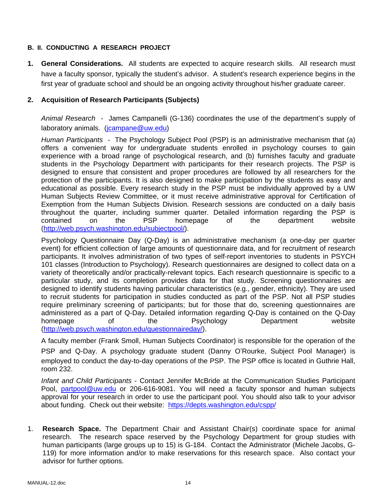### **B. II. CONDUCTING A RESEARCH PROJECT**

**1. General Considerations.** All students are expected to acquire research skills. All research must have a faculty sponsor, typically the student's advisor. A student's research experience begins in the first year of graduate school and should be an ongoing activity throughout his/her graduate career.

### **2. Acquisition of Research Participants (Subjects)**

*Animal Research* - James Campanelli (G-136) coordinates the use of the department's supply of laboratory animals. (jcampane@uw.edu)

*Human Participants -* The Psychology Subject Pool (PSP) is an administrative mechanism that (a) offers a convenient way for undergraduate students enrolled in psychology courses to gain experience with a broad range of psychological research, and (b) furnishes faculty and graduate students in the Psychology Department with participants for their research projects. The PSP is designed to ensure that consistent and proper procedures are followed by all researchers for the protection of the participants. It is also designed to make participation by the students as easy and educational as possible. Every research study in the PSP must be individually approved by a UW Human Subjects Review Committee, or it must receive administrative approval for Certification of Exemption from the Human Subjects Division. Research sessions are conducted on a daily basis throughout the quarter, including summer quarter. Detailed information regarding the PSP is contained on the PSP homepage of the department website (http://web.psych.washington.edu/subjectpool/).

Psychology Questionnaire Day (Q-Day) is an administrative mechanism (a one-day per quarter event) for efficient collection of large amounts of questionnaire data, and for recruitment of research participants. It involves administration of two types of self-report inventories to students in PSYCH 101 classes (Introduction to Psychology). Research questionnaires are designed to collect data on a variety of theoretically and/or practically-relevant topics. Each research questionnaire is specific to a particular study, and its completion provides data for that study. Screening questionnaires are designed to identify students having particular characteristics (e.g., gender, ethnicity). They are used to recruit students for participation in studies conducted as part of the PSP. Not all PSP studies require preliminary screening of participants; but for those that do, screening questionnaires are administered as a part of Q-Day. Detailed information regarding Q-Day is contained on the Q-Day homepage of the Psychology Department website (http://web.psych.washington.edu/questionnaireday/).

A faculty member (Frank Smoll, Human Subjects Coordinator) is responsible for the operation of the PSP and Q-Day. A psychology graduate student (Danny O'Rourke, Subject Pool Manager) is employed to conduct the day-to-day operations of the PSP. The PSP office is located in Guthrie Hall, room 232.

*Infant and Child Participants* - Contact Jennifer McBride at the Communication Studies Participant Pool, partpool@uw.edu or 206-616-9081. You will need a faculty sponsor and human subjects approval for your research in order to use the participant pool. You should also talk to your advisor about funding. Check out their website: https://depts.washington.edu/cspp/

1. **Research Space.** The Department Chair and Assistant Chair(s) coordinate space for animal research. The research space reserved by the Psychology Department for group studies with human participants (large groups up to 15) is G-184. Contact the Administrator (Michele Jacobs, G-119) for more information and/or to make reservations for this research space. Also contact your advisor for further options.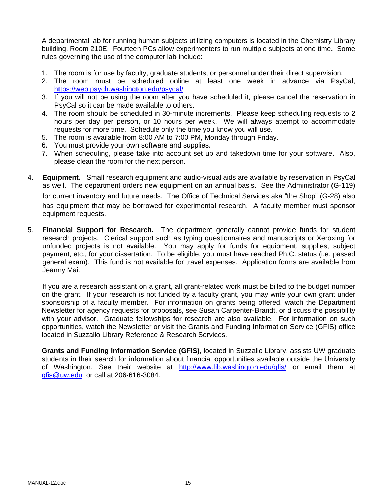A departmental lab for running human subjects utilizing computers is located in the Chemistry Library building, Room 210E. Fourteen PCs allow experimenters to run multiple subjects at one time. Some rules governing the use of the computer lab include:

- 1. The room is for use by faculty, graduate students, or personnel under their direct supervision.
- 2. The room must be scheduled online at least one week in advance via PsyCal, https://web.psych.washington.edu/psycal/
- 3. If you will not be using the room after you have scheduled it, please cancel the reservation in PsyCal so it can be made available to others.
- 4. The room should be scheduled in 30-minute increments. Please keep scheduling requests to 2 hours per day per person, or 10 hours per week. We will always attempt to accommodate requests for more time. Schedule only the time you know you will use.
- 5. The room is available from 8:00 AM to 7:00 PM, Monday through Friday.
- 6. You must provide your own software and supplies.
- 7. When scheduling, please take into account set up and takedown time for your software. Also, please clean the room for the next person.
- 4. **Equipment.** Small research equipment and audio-visual aids are available by reservation in PsyCal as well. The department orders new equipment on an annual basis. See the Administrator (G-119) for current inventory and future needs. The Office of Technical Services aka "the Shop" (G-28) also has equipment that may be borrowed for experimental research. A faculty member must sponsor equipment requests.
- 5. **Financial Support for Research.** The department generally cannot provide funds for student research projects. Clerical support such as typing questionnaires and manuscripts or Xeroxing for unfunded projects is not available. You may apply for funds for equipment, supplies, subject payment, etc., for your dissertation. To be eligible, you must have reached Ph.C. status (i.e. passed general exam). This fund is not available for travel expenses. Application forms are available from Jeanny Mai.

If you are a research assistant on a grant, all grant-related work must be billed to the budget number on the grant. If your research is not funded by a faculty grant, you may write your own grant under sponsorship of a faculty member. For information on grants being offered, watch the Department Newsletter for agency requests for proposals, see Susan Carpenter-Brandt, or discuss the possibility with your advisor. Graduate fellowships for research are also available. For information on such opportunities, watch the Newsletter or visit the Grants and Funding Information Service (GFIS) office located in Suzzallo Library Reference & Research Services.

**Grants and Funding Information Service (GFIS)**, located in Suzzallo Library, assists UW graduate students in their search for information about financial opportunities available outside the University of Washington. See their website at http://www.lib.washington.edu/gfis/ or email them at gfis@uw.edu or call at 206-616-3084.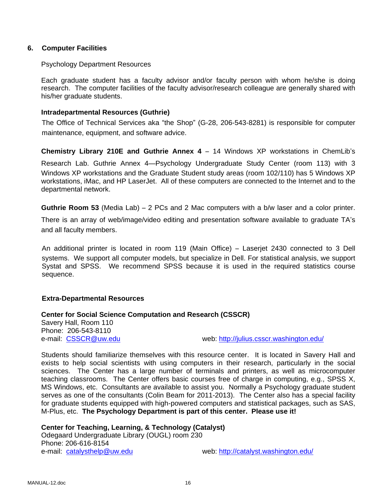### **6. Computer Facilities**

### Psychology Department Resources

Each graduate student has a faculty advisor and/or faculty person with whom he/she is doing research. The computer facilities of the faculty advisor/research colleague are generally shared with his/her graduate students.

### **Intradepartmental Resources (Guthrie)**

The Office of Technical Services aka "the Shop" (G-28, 206-543-8281) is responsible for computer maintenance, equipment, and software advice.

**Chemistry Library 210E and Guthrie Annex 4** – 14 Windows XP workstations in ChemLib's Research Lab. Guthrie Annex 4—Psychology Undergraduate Study Center (room 113) with 3 Windows XP workstations and the Graduate Student study areas (room 102/110) has 5 Windows XP workstations, iMac, and HP LaserJet. All of these computers are connected to the Internet and to the departmental network.

**Guthrie Room 53** (Media Lab) – 2 PCs and 2 Mac computers with a b/w laser and a color printer.

There is an array of web/image/video editing and presentation software available to graduate TA's and all faculty members.

An additional printer is located in room 119 (Main Office) – Laserjet 2430 connected to 3 Dell systems. We support all computer models, but specialize in Dell. For statistical analysis, we support Systat and SPSS. We recommend SPSS because it is used in the required statistics course sequence.

### **Extra-Departmental Resources**

### **Center for Social Science Computation and Research (CSSCR)**

Savery Hall, Room 110 Phone: 206-543-8110

e-mail: CSSCR@uw.edu web: http://julius.csscr.washington.edu/

Students should familiarize themselves with this resource center. It is located in Savery Hall and exists to help social scientists with using computers in their research, particularly in the social sciences. The Center has a large number of terminals and printers, as well as microcomputer teaching classrooms. The Center offers basic courses free of charge in computing, e.g., SPSS X, MS Windows, etc. Consultants are available to assist you. Normally a Psychology graduate student serves as one of the consultants (Colin Beam for 2011-2013). The Center also has a special facility for graduate students equipped with high-powered computers and statistical packages, such as SAS, M-Plus, etc. **The Psychology Department is part of this center. Please use it!** 

**Center for Teaching, Learning, & Technology (Catalyst)**  Odegaard Undergraduate Library (OUGL) room 230 Phone: 206-616-8154 e-mail: catalysthelp@uw.edu web: http://catalyst.washington.edu/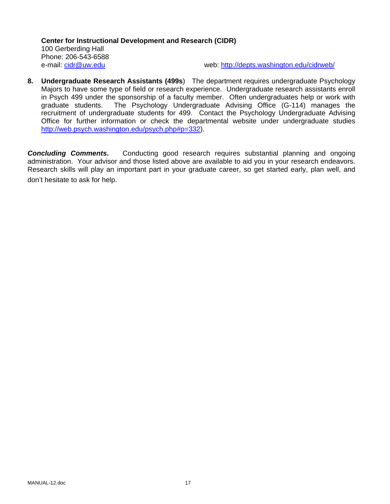**Center for Instructional Development and Research (CIDR)**  100 Gerberding Hall Phone: 206-543-6588 e-mail: cidr@uw.edu web: http://depts.washington.edu/cidrweb/

**8. Undergraduate Research Assistants (499s**) The department requires undergraduate Psychology Majors to have some type of field or research experience. Undergraduate research assistants enroll in Psych 499 under the sponsorship of a faculty member. Often undergraduates help or work with graduate students. The Psychology Undergraduate Advising Office (G-114) manages the recruitment of undergraduate students for 499. Contact the Psychology Undergraduate Advising Office for further information or check the departmental website under undergraduate studies http://web.psych.washington.edu/psych.php#p=332).

**Concluding Comments.** Conducting good research requires substantial planning and ongoing administration. Your advisor and those listed above are available to aid you in your research endeavors. Research skills will play an important part in your graduate career, so get started early, plan well, and don't hesitate to ask for help.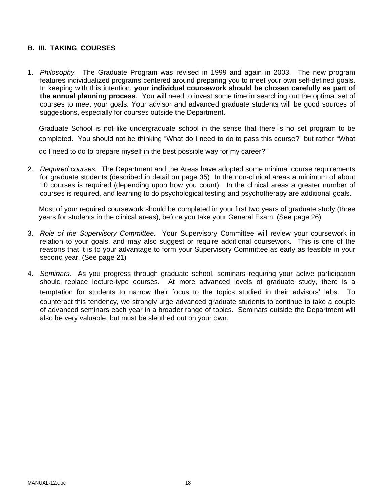### **B. III. TAKING COURSES**

1. *Philosophy.* The Graduate Program was revised in 1999 and again in 2003. The new program features individualized programs centered around preparing you to meet your own self-defined goals. In keeping with this intention, **your individual coursework should be chosen carefully as part of the annual planning process**. You will need to invest some time in searching out the optimal set of courses to meet your goals. Your advisor and advanced graduate students will be good sources of suggestions, especially for courses outside the Department.

Graduate School is not like undergraduate school in the sense that there is no set program to be completed. You should not be thinking "What do I need to do to pass this course?" but rather "What do I need to do to prepare myself in the best possible way for my career?"

2. *Required courses.* The Department and the Areas have adopted some minimal course requirements for graduate students (described in detail on page 35) In the non-clinical areas a minimum of about 10 courses is required (depending upon how you count). In the clinical areas a greater number of courses is required, and learning to do psychological testing and psychotherapy are additional goals.

Most of your required coursework should be completed in your first two years of graduate study (three years for students in the clinical areas), before you take your General Exam. (See page 26)

- 3. *Role of the Supervisory Committee.* Your Supervisory Committee will review your coursework in relation to your goals, and may also suggest or require additional coursework. This is one of the reasons that it is to your advantage to form your Supervisory Committee as early as feasible in your second year. (See page 21)
- 4. *Seminars.* As you progress through graduate school, seminars requiring your active participation should replace lecture-type courses. At more advanced levels of graduate study, there is a temptation for students to narrow their focus to the topics studied in their advisors' labs. To counteract this tendency, we strongly urge advanced graduate students to continue to take a couple of advanced seminars each year in a broader range of topics. Seminars outside the Department will also be very valuable, but must be sleuthed out on your own.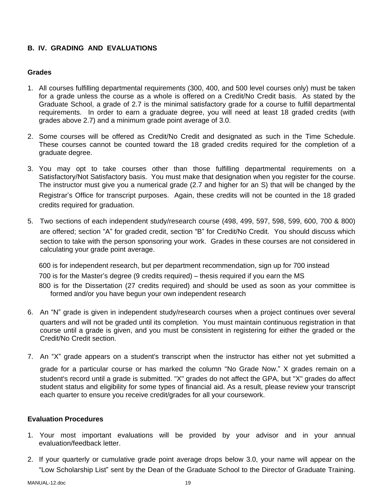### **B. IV. GRADING AND EVALUATIONS**

### **Grades**

- 1. All courses fulfilling departmental requirements (300, 400, and 500 level courses only) must be taken for a grade unless the course as a whole is offered on a Credit/No Credit basis. As stated by the Graduate School, a grade of 2.7 is the minimal satisfactory grade for a course to fulfill departmental requirements. In order to earn a graduate degree, you will need at least 18 graded credits (with grades above 2.7) and a minimum grade point average of 3.0.
- 2. Some courses will be offered as Credit/No Credit and designated as such in the Time Schedule. These courses cannot be counted toward the 18 graded credits required for the completion of a graduate degree.
- 3. You may opt to take courses other than those fulfilling departmental requirements on a Satisfactory/Not Satisfactory basis. You must make that designation when you register for the course. The instructor must give you a numerical grade (2.7 and higher for an S) that will be changed by the Registrar's Office for transcript purposes. Again, these credits will not be counted in the 18 graded credits required for graduation.
- 5. Two sections of each independent study/research course (498, 499, 597, 598, 599, 600, 700 & 800) are offered; section "A" for graded credit, section "B" for Credit/No Credit. You should discuss which section to take with the person sponsoring your work. Grades in these courses are not considered in calculating your grade point average.

600 is for independent research, but per department recommendation, sign up for 700 instead 700 is for the Master's degree (9 credits required) – thesis required if you earn the MS 800 is for the Dissertation (27 credits required) and should be used as soon as your committee is formed and/or you have begun your own independent research

- 6. An "N" grade is given in independent study/research courses when a project continues over several quarters and will not be graded until its completion. You must maintain continuous registration in that course until a grade is given, and you must be consistent in registering for either the graded or the Credit/No Credit section.
- 7. An "X" grade appears on a student's transcript when the instructor has either not yet submitted a grade for a particular course or has marked the column "No Grade Now." X grades remain on a student's record until a grade is submitted. "X" grades do not affect the GPA, but "X" grades do affect student status and eligibility for some types of financial aid. As a result, please review your transcript each quarter to ensure you receive credit/grades for all your coursework.

### **Evaluation Procedures**

- 1. Your most important evaluations will be provided by your advisor and in your annual evaluation/feedback letter.
- 2. If your quarterly or cumulative grade point average drops below 3.0, your name will appear on the "Low Scholarship List" sent by the Dean of the Graduate School to the Director of Graduate Training.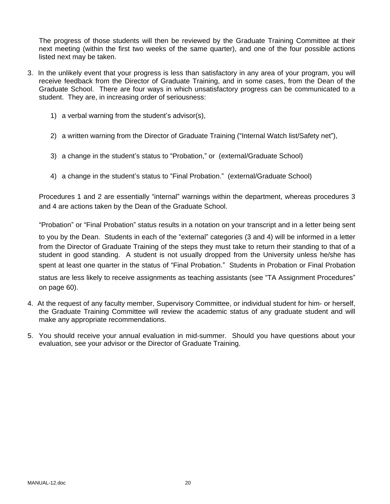The progress of those students will then be reviewed by the Graduate Training Committee at their next meeting (within the first two weeks of the same quarter), and one of the four possible actions listed next may be taken.

- 3. In the unlikely event that your progress is less than satisfactory in any area of your program, you will receive feedback from the Director of Graduate Training, and in some cases, from the Dean of the Graduate School. There are four ways in which unsatisfactory progress can be communicated to a student. They are, in increasing order of seriousness:
	- 1) a verbal warning from the student's advisor(s),
	- 2) a written warning from the Director of Graduate Training ("Internal Watch list/Safety net"),
	- 3) a change in the student's status to "Probation," or (external/Graduate School)
	- 4) a change in the student's status to "Final Probation." (external/Graduate School)

Procedures 1 and 2 are essentially "internal" warnings within the department, whereas procedures 3 and 4 are actions taken by the Dean of the Graduate School.

"Probation" or "Final Probation" status results in a notation on your transcript and in a letter being sent

to you by the Dean. Students in each of the "external" categories (3 and 4) will be informed in a letter from the Director of Graduate Training of the steps they must take to return their standing to that of a student in good standing. A student is not usually dropped from the University unless he/she has spent at least one quarter in the status of "Final Probation." Students in Probation or Final Probation status are less likely to receive assignments as teaching assistants (see "TA Assignment Procedures" on page 60).

- 4. At the request of any faculty member, Supervisory Committee, or individual student for him- or herself, the Graduate Training Committee will review the academic status of any graduate student and will make any appropriate recommendations.
- 5. You should receive your annual evaluation in mid-summer. Should you have questions about your evaluation, see your advisor or the Director of Graduate Training.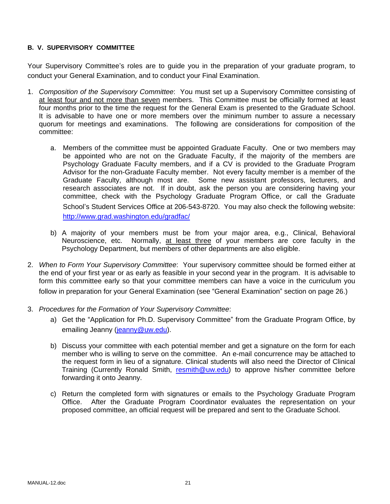### **B. V. SUPERVISORY COMMITTEE**

Your Supervisory Committee's roles are to guide you in the preparation of your graduate program, to conduct your General Examination, and to conduct your Final Examination.

- 1. *Composition of the Supervisory Committee*: You must set up a Supervisory Committee consisting of at least four and not more than seven members. This Committee must be officially formed at least four months prior to the time the request for the General Exam is presented to the Graduate School. It is advisable to have one or more members over the minimum number to assure a necessary quorum for meetings and examinations. The following are considerations for composition of the committee:
	- a. Members of the committee must be appointed Graduate Faculty. One or two members may be appointed who are not on the Graduate Faculty, if the majority of the members are Psychology Graduate Faculty members, and if a CV is provided to the Graduate Program Advisor for the non-Graduate Faculty member. Not every faculty member is a member of the Graduate Faculty, although most are. Some new assistant professors, lecturers, and research associates are not. If in doubt, ask the person you are considering having your committee, check with the Psychology Graduate Program Office, or call the Graduate School's Student Services Office at 206-543-8720. You may also check the following website: http://www.grad.washington.edu/gradfac/
	- b) A majority of your members must be from your major area, e.g., Clinical, Behavioral Neuroscience, etc. Normally, at least three of your members are core faculty in the Psychology Department, but members of other departments are also eligible.
- 2. *When to Form Your Supervisory Committee*: Your supervisory committee should be formed either at the end of your first year or as early as feasible in your second year in the program. It is advisable to form this committee early so that your committee members can have a voice in the curriculum you follow in preparation for your General Examination (see "General Examination" section on page 26.)
- 3. *Procedures for the Formation of Your Supervisory Committee*:
	- a) Get the "Application for Ph.D. Supervisory Committee" from the Graduate Program Office, by emailing Jeanny (jeanny@uw.edu).
	- b) Discuss your committee with each potential member and get a signature on the form for each member who is willing to serve on the committee. An e-mail concurrence may be attached to the request form in lieu of a signature. Clinical students will also need the Director of Clinical Training (Currently Ronald Smith, resmith@uw.edu) to approve his/her committee before forwarding it onto Jeanny.
	- c) Return the completed form with signatures or emails to the Psychology Graduate Program Office. After the Graduate Program Coordinator evaluates the representation on your proposed committee, an official request will be prepared and sent to the Graduate School.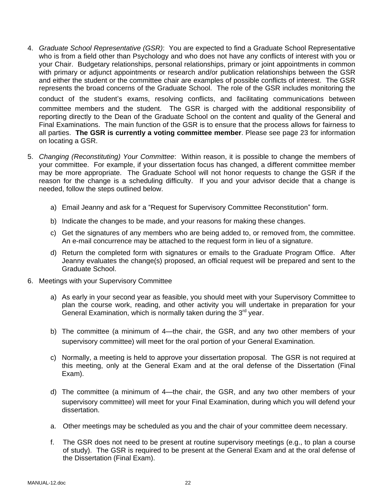4. *Graduate School Representative (GSR)*: You are expected to find a Graduate School Representative who is from a field other than Psychology and who does not have any conflicts of interest with you or your Chair. Budgetary relationships, personal relationships, primary or joint appointments in common with primary or adjunct appointments or research and/or publication relationships between the GSR and either the student or the committee chair are examples of possible conflicts of interest. The GSR represents the broad concerns of the Graduate School. The role of the GSR includes monitoring the

conduct of the student's exams, resolving conflicts, and facilitating communications between committee members and the student. The GSR is charged with the additional responsibility of reporting directly to the Dean of the Graduate School on the content and quality of the General and Final Examinations. The main function of the GSR is to ensure that the process allows for fairness to all parties. **The GSR is currently a voting committee member**. Please see page 23 for information on locating a GSR.

- 5. *Changing (Reconstituting) Your Committee*: Within reason, it is possible to change the members of your committee. For example, if your dissertation focus has changed, a different committee member may be more appropriate. The Graduate School will not honor requests to change the GSR if the reason for the change is a scheduling difficulty. If you and your advisor decide that a change is needed, follow the steps outlined below.
	- a) Email Jeanny and ask for a "Request for Supervisory Committee Reconstitution" form.
	- b) Indicate the changes to be made, and your reasons for making these changes.
	- c) Get the signatures of any members who are being added to, or removed from, the committee. An e-mail concurrence may be attached to the request form in lieu of a signature.
	- d) Return the completed form with signatures or emails to the Graduate Program Office. After Jeanny evaluates the change(s) proposed, an official request will be prepared and sent to the Graduate School.
- 6. Meetings with your Supervisory Committee
	- a) As early in your second year as feasible, you should meet with your Supervisory Committee to plan the course work, reading, and other activity you will undertake in preparation for your General Examination, which is normally taken during the  $3<sup>rd</sup>$  year.
	- b) The committee (a minimum of 4—the chair, the GSR, and any two other members of your supervisory committee) will meet for the oral portion of your General Examination.
	- c) Normally, a meeting is held to approve your dissertation proposal. The GSR is not required at this meeting, only at the General Exam and at the oral defense of the Dissertation (Final Exam).
	- d) The committee (a minimum of 4—the chair, the GSR, and any two other members of your supervisory committee) will meet for your Final Examination, during which you will defend your dissertation.
	- a. Other meetings may be scheduled as you and the chair of your committee deem necessary.
	- f. The GSR does not need to be present at routine supervisory meetings (e.g., to plan a course of study). The GSR is required to be present at the General Exam and at the oral defense of the Dissertation (Final Exam).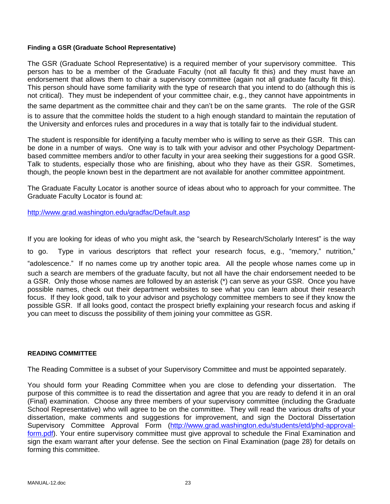### **Finding a GSR (Graduate School Representative)**

The GSR (Graduate School Representative) is a required member of your supervisory committee. This person has to be a member of the Graduate Faculty (not all faculty fit this) and they must have an endorsement that allows them to chair a supervisory committee (again not all graduate faculty fit this). This person should have some familiarity with the type of research that you intend to do (although this is not critical). They must be independent of your committee chair, e.g., they cannot have appointments in the same department as the committee chair and they can't be on the same grants. The role of the GSR is to assure that the committee holds the student to a high enough standard to maintain the reputation of the University and enforces rules and procedures in a way that is totally fair to the individual student.

The student is responsible for identifying a faculty member who is willing to serve as their GSR. This can be done in a number of ways. One way is to talk with your advisor and other Psychology Departmentbased committee members and/or to other faculty in your area seeking their suggestions for a good GSR. Talk to students, especially those who are finishing, about who they have as their GSR. Sometimes, though, the people known best in the department are not available for another committee appointment.

The Graduate Faculty Locator is another source of ideas about who to approach for your committee. The Graduate Faculty Locator is found at:

http://www.grad.washington.edu/gradfac/Default.asp

If you are looking for ideas of who you might ask, the "search by Research/Scholarly Interest" is the way to go. Type in various descriptors that reflect your research focus, e.g., "memory," nutrition," "adolescence." If no names come up try another topic area. All the people whose names come up in such a search are members of the graduate faculty, but not all have the chair endorsement needed to be a GSR. Only those whose names are followed by an asterisk (\*) can serve as your GSR. Once you have possible names, check out their department websites to see what you can learn about their research focus. If they look good, talk to your advisor and psychology committee members to see if they know the possible GSR. If all looks good, contact the prospect briefly explaining your research focus and asking if you can meet to discuss the possibility of them joining your committee as GSR.

### **READING COMMITTEE**

The Reading Committee is a subset of your Supervisory Committee and must be appointed separately.

You should form your Reading Committee when you are close to defending your dissertation. The purpose of this committee is to read the dissertation and agree that you are ready to defend it in an oral (Final) examination. Choose any three members of your supervisory committee (including the Graduate School Representative) who will agree to be on the committee. They will read the various drafts of your dissertation, make comments and suggestions for improvement, and sign the Doctoral Dissertation Supervisory Committee Approval Form (http://www.grad.washington.edu/students/etd/phd-approvalform.pdf). Your entire supervisory committee must give approval to schedule the Final Examination and sign the exam warrant after your defense. See the section on Final Examination (page 28) for details on forming this committee.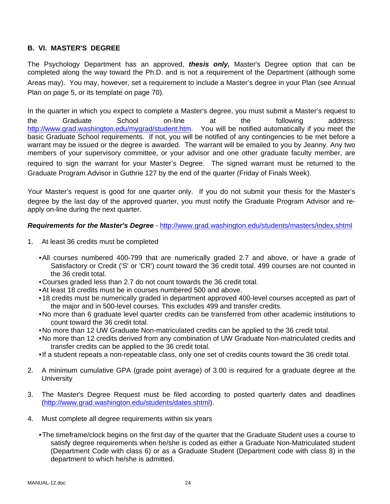### **B. VI. MASTER'S DEGREE**

The Psychology Department has an approved, *thesis only,* Master's Degree option that can be completed along the way toward the Ph.D. and is not a requirement of the Department (although some Areas may). You may, however, set a requirement to include a Master's degree in your Plan (see Annual Plan on page 5, or its template on page 70).

In the quarter in which you expect to complete a Master's degree, you must submit a Master's request to the Graduate School on-line at the following address: http://www.grad.washington.edu/mygrad/student.htm. You will be notified automatically if you meet the basic Graduate School requirements. If not, you will be notified of any contingencies to be met before a warrant may be issued or the degree is awarded. The warrant will be emailed to you by Jeanny. Any two members of your supervisory committee, or your advisor and one other graduate faculty member, are required to sign the warrant for your Master's Degree. The signed warrant must be returned to the Graduate Program Advisor in Guthrie 127 by the end of the quarter (Friday of Finals Week).

Your Master's request is good for one quarter only. If you do not submit your thesis for the Master's degree by the last day of the approved quarter, you must notify the Graduate Program Advisor and reapply on-line during the next quarter.

### *Requirements for the Master's Degree* - http://www.grad.washington.edu/students/masters/index.shtml

- 1. At least 36 credits must be completed
	- All courses numbered 400-799 that are numerically graded 2.7 and above, or have a grade of Satisfactory or Credit ('S' or 'CR') count toward the 36 credit total. 499 courses are not counted in the 36 credit total.
	- Courses graded less than 2.7 do not count towards the 36 credit total.
	- At least 18 credits must be in courses numbered 500 and above.
	- 18 credits must be numerically graded in department approved 400-level courses accepted as part of the major and in 500-level courses. This excludes 499 and transfer credits.
	- No more than 6 graduate level quarter credits can be transferred from other academic institutions to count toward the 36 credit total.
	- No more than 12 UW Graduate Non-matriculated credits can be applied to the 36 credit total.
	- No more than 12 credits derived from any combination of UW Graduate Non-matriculated credits and transfer credits can be applied to the 36 credit total.
	- If a student repeats a non-repeatable class, only one set of credits counts toward the 36 credit total.
- 2. A minimum cumulative GPA (grade point average) of 3.00 is required for a graduate degree at the **University**
- 3. The Master's Degree Request must be filed according to posted quarterly dates and deadlines (http://www.grad.washington.edu/students/dates.shtml).
- 4. Must complete all degree requirements within six years
	- The timeframe/clock begins on the first day of the quarter that the Graduate Student uses a course to satisfy degree requirements when he/she is coded as either a Graduate Non-Matriculated student (Department Code with class 6) or as a Graduate Student (Department code with class 8) in the department to which he/she is admitted.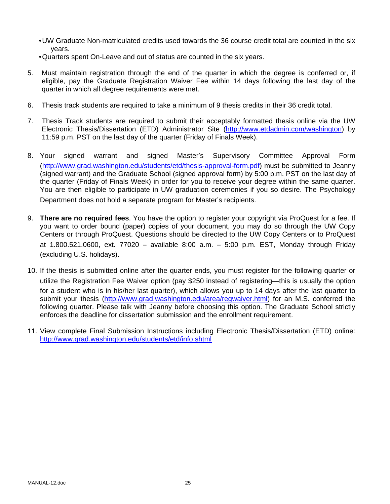- UW Graduate Non-matriculated credits used towards the 36 course credit total are counted in the six years.
- Quarters spent On-Leave and out of status are counted in the six years.
- 5. Must maintain registration through the end of the quarter in which the degree is conferred or, if eligible, pay the Graduate Registration Waiver Fee within 14 days following the last day of the quarter in which all degree requirements were met.
- 6. Thesis track students are required to take a minimum of 9 thesis credits in their 36 credit total.
- 7. Thesis Track students are required to submit their acceptably formatted thesis online via the UW Electronic Thesis/Dissertation (ETD) Administrator Site (http://www.etdadmin.com/washington) by 11:59 p.m. PST on the last day of the quarter (Friday of Finals Week).
- 8. Your signed warrant and signed Master's Supervisory Committee Approval Form (http://www.grad.washington.edu/students/etd/thesis-approval-form.pdf) must be submitted to Jeanny (signed warrant) and the Graduate School (signed approval form) by 5:00 p.m. PST on the last day of the quarter (Friday of Finals Week) in order for you to receive your degree within the same quarter. You are then eligible to participate in UW graduation ceremonies if you so desire. The Psychology Department does not hold a separate program for Master's recipients.
- 9. **There are no required fees**. You have the option to register your copyright via ProQuest for a fee. If you want to order bound (paper) copies of your document, you may do so through the UW Copy Centers or through ProQuest. Questions should be directed to the UW Copy Centers or to ProQuest at 1.800.521.0600, ext. 77020 – available 8:00 a.m. – 5:00 p.m. EST, Monday through Friday (excluding U.S. holidays).
- 10. If the thesis is submitted online after the quarter ends, you must register for the following quarter or utilize the Registration Fee Waiver option (pay \$250 instead of registering—this is usually the option for a student who is in his/her last quarter), which allows you up to 14 days after the last quarter to submit your thesis (http://www.grad.washington.edu/area/regwaiver.html) for an M.S. conferred the following quarter. Please talk with Jeanny before choosing this option. The Graduate School strictly enforces the deadline for dissertation submission and the enrollment requirement.
- 11. View complete Final Submission Instructions including Electronic Thesis/Dissertation (ETD) online: http://www.grad.washington.edu/students/etd/info.shtml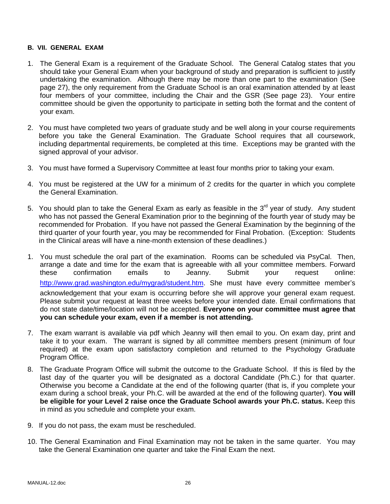### **B. VII. GENERAL EXAM**

- 1. The General Exam is a requirement of the Graduate School. The General Catalog states that you should take your General Exam when your background of study and preparation is sufficient to justify undertaking the examination. Although there may be more than one part to the examination (See page 27), the only requirement from the Graduate School is an oral examination attended by at least four members of your committee, including the Chair and the GSR (See page 23). Your entire committee should be given the opportunity to participate in setting both the format and the content of your exam.
- 2. You must have completed two years of graduate study and be well along in your course requirements before you take the General Examination. The Graduate School requires that all coursework, including departmental requirements, be completed at this time. Exceptions may be granted with the signed approval of your advisor.
- 3. You must have formed a Supervisory Committee at least four months prior to taking your exam.
- 4. You must be registered at the UW for a minimum of 2 credits for the quarter in which you complete the General Examination.
- 5. You should plan to take the General Exam as early as feasible in the 3<sup>rd</sup> year of study. Any student who has not passed the General Examination prior to the beginning of the fourth year of study may be recommended for Probation. If you have not passed the General Examination by the beginning of the third quarter of your fourth year, you may be recommended for Final Probation. (Exception: Students in the Clinical areas will have a nine-month extension of these deadlines.)
- 1. You must schedule the oral part of the examination. Rooms can be scheduled via PsyCal. Then, arrange a date and time for the exam that is agreeable with all your committee members. Forward these confirmation emails to Jeanny. Submit your request online: http://www.grad.washington.edu/mygrad/student.htm. She must have every committee member's acknowledgement that your exam is occurring before she will approve your general exam request. Please submit your request at least three weeks before your intended date. Email confirmations that do not state date/time/location will not be accepted. **Everyone on your committee must agree that you can schedule your exam, even if a member is not attending.**
- 7. The exam warrant is available via pdf which Jeanny will then email to you. On exam day, print and take it to your exam. The warrant is signed by all committee members present (minimum of four required) at the exam upon satisfactory completion and returned to the Psychology Graduate Program Office.
- 8. The Graduate Program Office will submit the outcome to the Graduate School. If this is filed by the last day of the quarter you will be designated as a doctoral Candidate (Ph.C.) for that quarter. Otherwise you become a Candidate at the end of the following quarter (that is, if you complete your exam during a school break, your Ph.C. will be awarded at the end of the following quarter). **You will be eligible for your Level 2 raise once the Graduate School awards your Ph.C. status.** Keep this in mind as you schedule and complete your exam.
- 9. If you do not pass, the exam must be rescheduled.
- 10. The General Examination and Final Examination may not be taken in the same quarter. You may take the General Examination one quarter and take the Final Exam the next.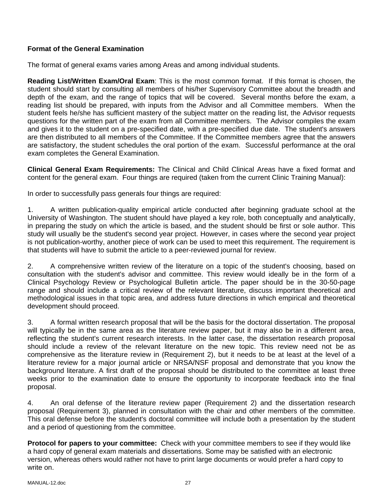## **Format of the General Examination**

The format of general exams varies among Areas and among individual students.

**Reading List/Written Exam/Oral Exam**: This is the most common format. If this format is chosen, the student should start by consulting all members of his/her Supervisory Committee about the breadth and depth of the exam, and the range of topics that will be covered. Several months before the exam, a reading list should be prepared, with inputs from the Advisor and all Committee members. When the student feels he/she has sufficient mastery of the subject matter on the reading list, the Advisor requests questions for the written part of the exam from all Committee members. The Advisor compiles the exam and gives it to the student on a pre-specified date, with a pre-specified due date. The student's answers are then distributed to all members of the Committee. If the Committee members agree that the answers are satisfactory, the student schedules the oral portion of the exam. Successful performance at the oral exam completes the General Examination.

**Clinical General Exam Requirements:** The Clinical and Child Clinical Areas have a fixed format and content for the general exam. Four things are required (taken from the current Clinic Training Manual):

In order to successfully pass generals four things are required:

1. A written publication-quality empirical article conducted after beginning graduate school at the University of Washington. The student should have played a key role, both conceptually and analytically, in preparing the study on which the article is based, and the student should be first or sole author. This study will usually be the student's second year project. However, in cases where the second year project is not publication-worthy, another piece of work can be used to meet this requirement. The requirement is that students will have to submit the article to a peer-reviewed journal for review.

2. A comprehensive written review of the literature on a topic of the student's choosing, based on consultation with the student's advisor and committee. This review would ideally be in the form of a Clinical Psychology Review or Psychological Bulletin article. The paper should be in the 30-50-page range and should include a critical review of the relevant literature, discuss important theoretical and methodological issues in that topic area, and address future directions in which empirical and theoretical development should proceed.

3. A formal written research proposal that will be the basis for the doctoral dissertation. The proposal will typically be in the same area as the literature review paper, but it may also be in a different area, reflecting the student's current research interests. In the latter case, the dissertation research proposal should include a review of the relevant literature on the new topic. This review need not be as comprehensive as the literature review in (Requirement 2), but it needs to be at least at the level of a literature review for a major journal article or NRSA/NSF proposal and demonstrate that you know the background literature. A first draft of the proposal should be distributed to the committee at least three weeks prior to the examination date to ensure the opportunity to incorporate feedback into the final proposal.

4. An oral defense of the literature review paper (Requirement 2) and the dissertation research proposal (Requirement 3), planned in consultation with the chair and other members of the committee. This oral defense before the student's doctoral committee will include both a presentation by the student and a period of questioning from the committee.

**Protocol for papers to your committee:** Check with your committee members to see if they would like a hard copy of general exam materials and dissertations. Some may be satisfied with an electronic version, whereas others would rather not have to print large documents or would prefer a hard copy to write on.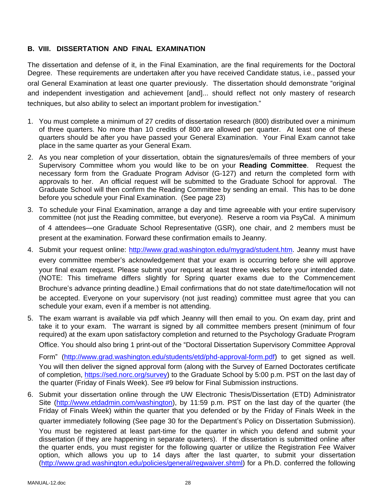### **B. VIII. DISSERTATION AND FINAL EXAMINATION**

The dissertation and defense of it, in the Final Examination, are the final requirements for the Doctoral Degree. These requirements are undertaken after you have received Candidate status, i.e., passed your oral General Examination at least one quarter previously. The dissertation should demonstrate "original and independent investigation and achievement [and]... should reflect not only mastery of research techniques, but also ability to select an important problem for investigation."

- 1. You must complete a minimum of 27 credits of dissertation research (800) distributed over a minimum of three quarters. No more than 10 credits of 800 are allowed per quarter. At least one of these quarters should be after you have passed your General Examination. Your Final Exam cannot take place in the same quarter as your General Exam.
- 2. As you near completion of your dissertation, obtain the signatures/emails of three members of your Supervisory Committee whom you would like to be on your **Reading Committee**. Request the necessary form from the Graduate Program Advisor (G-127) and return the completed form with approvals to her. An official request will be submitted to the Graduate School for approval. The Graduate School will then confirm the Reading Committee by sending an email. This has to be done before you schedule your Final Examination. (See page 23)
- 3. To schedule your Final Examination, arrange a day and time agreeable with your entire supervisory committee (not just the Reading committee, but everyone). Reserve a room via PsyCal. A minimum of 4 attendees—one Graduate School Representative (GSR), one chair, and 2 members must be present at the examination. Forward these confirmation emails to Jeanny.
- 4. Submit your request online: http://www.grad.washington.edu/mygrad/student.htm. Jeanny must have every committee member's acknowledgement that your exam is occurring before she will approve your final exam request. Please submit your request at least three weeks before your intended date. (NOTE: This timeframe differs slightly for Spring quarter exams due to the Commencement Brochure's advance printing deadline.) Email confirmations that do not state date/time/location will not be accepted. Everyone on your supervisory (not just reading) committee must agree that you can schedule your exam, even if a member is not attending.
- 5. The exam warrant is available via pdf which Jeanny will then email to you. On exam day, print and take it to your exam. The warrant is signed by all committee members present (minimum of four required) at the exam upon satisfactory completion and returned to the Psychology Graduate Program Office. You should also bring 1 print-out of the "Doctoral Dissertation Supervisory Committee Approval

Form" (http://www.grad.washington.edu/students/etd/phd-approval-form.pdf) to get signed as well. You will then deliver the signed approval form (along with the Survey of Earned Doctorates certificate of completion, https://sed.norc.org/survey) to the Graduate School by 5:00 p.m. PST on the last day of the quarter (Friday of Finals Week). See #9 below for Final Submission instructions.

6. Submit your dissertation online through the UW Electronic Thesis/Dissertation (ETD) Administrator Site (http://www.etdadmin.com/washington), by 11:59 p.m. PST on the last day of the quarter (the Friday of Finals Week) within the quarter that you defended or by the Friday of Finals Week in the quarter immediately following (See page 30 for the Department's Policy on Dissertation Submission). You must be registered at least part-time for the quarter in which you defend and submit your dissertation (if they are happening in separate quarters). If the dissertation is submitted online after the quarter ends, you must register for the following quarter or utilize the Registration Fee Waiver option, which allows you up to 14 days after the last quarter, to submit your dissertation (http://www.grad.washington.edu/policies/general/regwaiver.shtml) for a Ph.D. conferred the following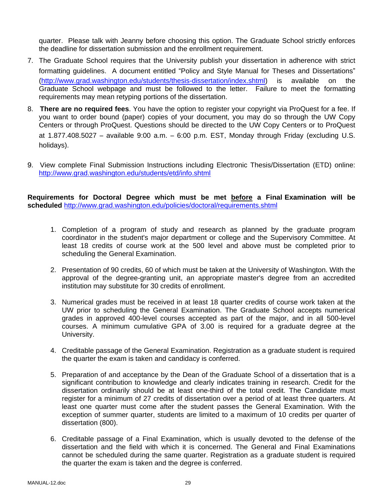quarter. Please talk with Jeanny before choosing this option. The Graduate School strictly enforces the deadline for dissertation submission and the enrollment requirement.

- 7. The Graduate School requires that the University publish your dissertation in adherence with strict formatting guidelines. A document entitled "Policy and Style Manual for Theses and Dissertations" (http://www.grad.washington.edu/students/thesis-dissertation/index.shtml) is available on the Graduate School webpage and must be followed to the letter. Failure to meet the formatting requirements may mean retyping portions of the dissertation.
- 8. **There are no required fees**. You have the option to register your copyright via ProQuest for a fee. If you want to order bound (paper) copies of your document, you may do so through the UW Copy Centers or through ProQuest. Questions should be directed to the UW Copy Centers or to ProQuest at 1.877.408.5027 – available 9:00 a.m. – 6:00 p.m. EST, Monday through Friday (excluding U.S. holidays).
- 9. View complete Final Submission Instructions including Electronic Thesis/Dissertation (ETD) online: http://www.grad.washington.edu/students/etd/info.shtml

**Requirements for Doctoral Degree which must be met before a Final Examination will be scheduled** http://www.grad.washington.edu/policies/doctoral/requirements.shtml

- 1. Completion of a program of study and research as planned by the graduate program coordinator in the student's major department or college and the Supervisory Committee. At least 18 credits of course work at the 500 level and above must be completed prior to scheduling the General Examination.
- 2. Presentation of 90 credits, 60 of which must be taken at the University of Washington. With the approval of the degree-granting unit, an appropriate master's degree from an accredited institution may substitute for 30 credits of enrollment.
- 3. Numerical grades must be received in at least 18 quarter credits of course work taken at the UW prior to scheduling the General Examination. The Graduate School accepts numerical grades in approved 400-level courses accepted as part of the major, and in all 500-level courses. A minimum cumulative GPA of 3.00 is required for a graduate degree at the University.
- 4. Creditable passage of the General Examination. Registration as a graduate student is required the quarter the exam is taken and candidacy is conferred.
- 5. Preparation of and acceptance by the Dean of the Graduate School of a dissertation that is a significant contribution to knowledge and clearly indicates training in research. Credit for the dissertation ordinarily should be at least one-third of the total credit. The Candidate must register for a minimum of 27 credits of dissertation over a period of at least three quarters. At least one quarter must come after the student passes the General Examination. With the exception of summer quarter, students are limited to a maximum of 10 credits per quarter of dissertation (800).
- 6. Creditable passage of a Final Examination, which is usually devoted to the defense of the dissertation and the field with which it is concerned. The General and Final Examinations cannot be scheduled during the same quarter. Registration as a graduate student is required the quarter the exam is taken and the degree is conferred.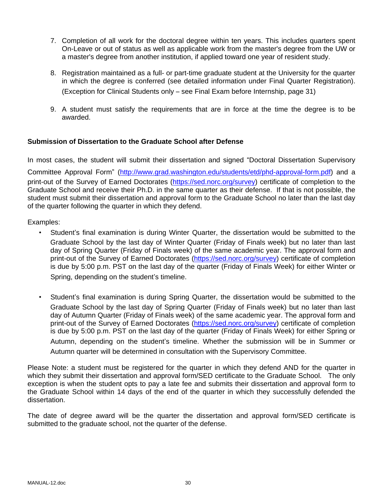- 7. Completion of all work for the doctoral degree within ten years. This includes quarters spent On-Leave or out of status as well as applicable work from the master's degree from the UW or a master's degree from another institution, if applied toward one year of resident study.
- 8. Registration maintained as a full- or part-time graduate student at the University for the quarter in which the degree is conferred (see detailed information under Final Quarter Registration). (Exception for Clinical Students only – see Final Exam before Internship, page 31)
- 9. A student must satisfy the requirements that are in force at the time the degree is to be awarded.

### **Submission of Dissertation to the Graduate School after Defense**

In most cases, the student will submit their dissertation and signed "Doctoral Dissertation Supervisory

Committee Approval Form" (http://www.grad.washington.edu/students/etd/phd-approval-form.pdf) and a print-out of the Survey of Earned Doctorates (https://sed.norc.org/survey) certificate of completion to the Graduate School and receive their Ph.D. in the same quarter as their defense. If that is not possible, the student must submit their dissertation and approval form to the Graduate School no later than the last day of the quarter following the quarter in which they defend.

Examples:

- Student's final examination is during Winter Quarter, the dissertation would be submitted to the Graduate School by the last day of Winter Quarter (Friday of Finals week) but no later than last day of Spring Quarter (Friday of Finals week) of the same academic year. The approval form and print-out of the Survey of Earned Doctorates (https://sed.norc.org/survey) certificate of completion is due by 5:00 p.m. PST on the last day of the quarter (Friday of Finals Week) for either Winter or Spring, depending on the student's timeline.
- Student's final examination is during Spring Quarter, the dissertation would be submitted to the Graduate School by the last day of Spring Quarter (Friday of Finals week) but no later than last day of Autumn Quarter (Friday of Finals week) of the same academic year. The approval form and print-out of the Survey of Earned Doctorates (https://sed.norc.org/survey) certificate of completion is due by 5:00 p.m. PST on the last day of the quarter (Friday of Finals Week) for either Spring or Autumn, depending on the student's timeline. Whether the submission will be in Summer or Autumn quarter will be determined in consultation with the Supervisory Committee.

Please Note: a student must be registered for the quarter in which they defend AND for the quarter in which they submit their dissertation and approval form/SED certificate to the Graduate School. The only exception is when the student opts to pay a late fee and submits their dissertation and approval form to the Graduate School within 14 days of the end of the quarter in which they successfully defended the dissertation.

The date of degree award will be the quarter the dissertation and approval form/SED certificate is submitted to the graduate school, not the quarter of the defense.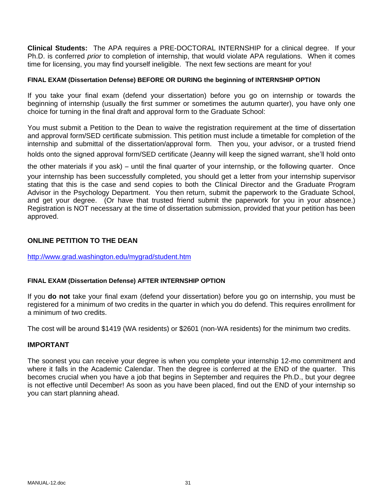**Clinical Students:** The APA requires a PRE-DOCTORAL INTERNSHIP for a clinical degree. If your Ph.D. is conferred *prior* to completion of internship, that would violate APA regulations. When it comes time for licensing, you may find yourself ineligible. The next few sections are meant for you!

### **FINAL EXAM (Dissertation Defense) BEFORE OR DURING the beginning of INTERNSHIP OPTION**

If you take your final exam (defend your dissertation) before you go on internship or towards the beginning of internship (usually the first summer or sometimes the autumn quarter), you have only one choice for turning in the final draft and approval form to the Graduate School:

You must submit a Petition to the Dean to waive the registration requirement at the time of dissertation and approval form/SED certificate submission. This petition must include a timetable for completion of the internship and submittal of the dissertation/approval form. Then you, your advisor, or a trusted friend holds onto the signed approval form/SED certificate (Jeanny will keep the signed warrant, she'll hold onto

the other materials if you ask) – until the final quarter of your internship, or the following quarter. Once

your internship has been successfully completed, you should get a letter from your internship supervisor stating that this is the case and send copies to both the Clinical Director and the Graduate Program Advisor in the Psychology Department. You then return, submit the paperwork to the Graduate School, and get your degree. (Or have that trusted friend submit the paperwork for you in your absence.) Registration is NOT necessary at the time of dissertation submission, provided that your petition has been approved.

### **ONLINE PETITION TO THE DEAN**

http://www.grad.washington.edu/mygrad/student.htm

### **FINAL EXAM (Dissertation Defense) AFTER INTERNSHIP OPTION**

If you **do not** take your final exam (defend your dissertation) before you go on internship, you must be registered for a minimum of two credits in the quarter in which you do defend. This requires enrollment for a minimum of two credits.

The cost will be around \$1419 (WA residents) or \$2601 (non-WA residents) for the minimum two credits.

### **IMPORTANT**

The soonest you can receive your degree is when you complete your internship 12-mo commitment and where it falls in the Academic Calendar. Then the degree is conferred at the END of the quarter. This becomes crucial when you have a job that begins in September and requires the Ph.D., but your degree is not effective until December! As soon as you have been placed, find out the END of your internship so you can start planning ahead.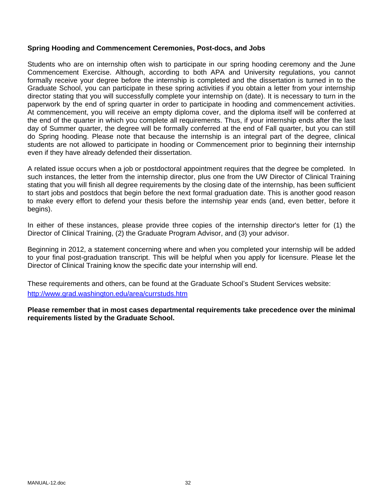### **Spring Hooding and Commencement Ceremonies, Post-docs, and Jobs**

Students who are on internship often wish to participate in our spring hooding ceremony and the June Commencement Exercise. Although, according to both APA and University regulations, you cannot formally receive your degree before the internship is completed and the dissertation is turned in to the Graduate School, you can participate in these spring activities if you obtain a letter from your internship director stating that you will successfully complete your internship on (date). It is necessary to turn in the paperwork by the end of spring quarter in order to participate in hooding and commencement activities. At commencement, you will receive an empty diploma cover, and the diploma itself will be conferred at the end of the quarter in which you complete all requirements. Thus, if your internship ends after the last day of Summer quarter, the degree will be formally conferred at the end of Fall quarter, but you can still do Spring hooding. Please note that because the internship is an integral part of the degree, clinical students are not allowed to participate in hooding or Commencement prior to beginning their internship even if they have already defended their dissertation.

A related issue occurs when a job or postdoctoral appointment requires that the degree be completed. In such instances, the letter from the internship director, plus one from the UW Director of Clinical Training stating that you will finish all degree requirements by the closing date of the internship, has been sufficient to start jobs and postdocs that begin before the next formal graduation date. This is another good reason to make every effort to defend your thesis before the internship year ends (and, even better, before it begins).

In either of these instances, please provide three copies of the internship director's letter for (1) the Director of Clinical Training, (2) the Graduate Program Advisor, and (3) your advisor.

Beginning in 2012, a statement concerning where and when you completed your internship will be added to your final post-graduation transcript. This will be helpful when you apply for licensure. Please let the Director of Clinical Training know the specific date your internship will end.

These requirements and others, can be found at the Graduate School's Student Services website: http://www.grad.washington.edu/area/currstuds.htm

**Please remember that in most cases departmental requirements take precedence over the minimal requirements listed by the Graduate School.**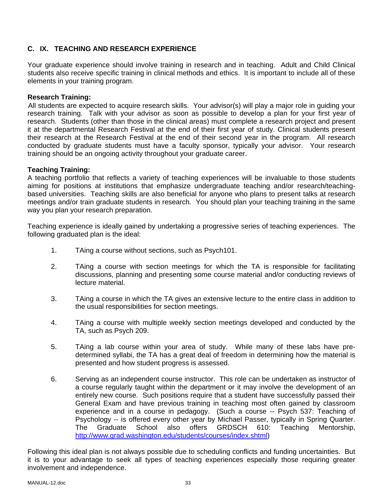## **C. IX. TEACHING AND RESEARCH EXPERIENCE**

Your graduate experience should involve training in research and in teaching. Adult and Child Clinical students also receive specific training in clinical methods and ethics. It is important to include all of these elements in your training program.

### **Research Training:**

All students are expected to acquire research skills. Your advisor(s) will play a major role in guiding your research training. Talk with your advisor as soon as possible to develop a plan for your first year of research. Students (other than those in the clinical areas) must complete a research project and present it at the departmental Research Festival at the end of their first year of study. Clinical students present their research at the Research Festival at the end of their second year in the program. All research conducted by graduate students must have a faculty sponsor, typically your advisor. Your research training should be an ongoing activity throughout your graduate career.

### **Teaching Training:**

A teaching portfolio that reflects a variety of teaching experiences will be invaluable to those students aiming for positions at institutions that emphasize undergraduate teaching and/or research/teachingbased universities. Teaching skills are also beneficial for anyone who plans to present talks at research meetings and/or train graduate students in research. You should plan your teaching training in the same way you plan your research preparation.

Teaching experience is ideally gained by undertaking a progressive series of teaching experiences. The following graduated plan is the ideal:

- 1. TAing a course without sections, such as Psych101.
- 2. TAing a course with section meetings for which the TA is responsible for facilitating discussions, planning and presenting some course material and/or conducting reviews of lecture material.
- 3. TAing a course in which the TA gives an extensive lecture to the entire class in addition to the usual responsibilities for section meetings.
- 4. TAing a course with multiple weekly section meetings developed and conducted by the TA, such as Psych 209.
- 5. TAing a lab course within your area of study. While many of these labs have predetermined syllabi, the TA has a great deal of freedom in determining how the material is presented and how student progress is assessed.
- 6. Serving as an independent course instructor. This role can be undertaken as instructor of a course regularly taught within the department or it may involve the development of an entirely new course. Such positions require that a student have successfully passed their General Exam and have previous training in teaching most often gained by classroom experience and in a course in pedagogy. (Such a course -- Psych 537: Teaching of Psychology -- is offered every other year by Michael Passer, typically in Spring Quarter. The Graduate School also offers GRDSCH 610: Teaching Mentorship, http://www.grad.washington.edu/students/courses/index.shtml)

Following this ideal plan is not always possible due to scheduling conflicts and funding uncertainties. But it is to your advantage to seek all types of teaching experiences especially those requiring greater involvement and independence.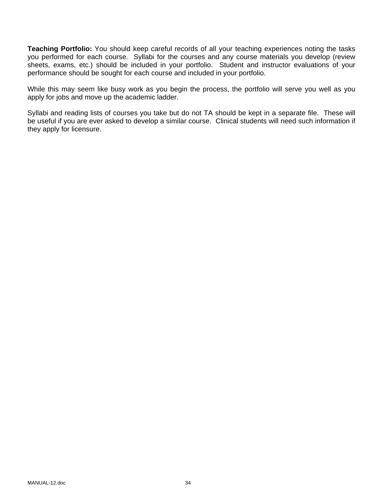**Teaching Portfolio:** You should keep careful records of all your teaching experiences noting the tasks you performed for each course. Syllabi for the courses and any course materials you develop (review sheets, exams, etc.) should be included in your portfolio. Student and instructor evaluations of your performance should be sought for each course and included in your portfolio.

While this may seem like busy work as you begin the process, the portfolio will serve you well as you apply for jobs and move up the academic ladder.

Syllabi and reading lists of courses you take but do not TA should be kept in a separate file. These will be useful if you are ever asked to develop a similar course. Clinical students will need such information if they apply for licensure.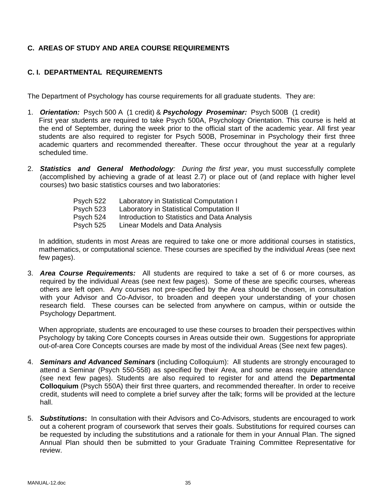## **C. AREAS OF STUDY AND AREA COURSE REQUIREMENTS**

## **C. I. DEPARTMENTAL REQUIREMENTS**

The Department of Psychology has course requirements for all graduate students. They are:

- 1. *Orientation:* Psych 500 A (1 credit) & *Psychology Proseminar:* Psych 500B (1 credit) First year students are required to take Psych 500A, Psychology Orientation. This course is held at the end of September, during the week prior to the official start of the academic year. All first year students are also required to register for Psych 500B, Proseminar in Psychology their first three academic quarters and recommended thereafter. These occur throughout the year at a regularly scheduled time.
- 2. *Statistics and General Methodology: During the first year*, you must successfully complete (accomplished by achieving a grade of at least 2.7) or place out of (and replace with higher level courses) two basic statistics courses and two laboratories:

| Psych 522 | Laboratory in Statistical Computation I      |
|-----------|----------------------------------------------|
| Psych 523 | Laboratory in Statistical Computation II     |
| Psych 524 | Introduction to Statistics and Data Analysis |
| Psych 525 | Linear Models and Data Analysis              |

In addition, students in most Areas are required to take one or more additional courses in statistics, mathematics, or computational science. These courses are specified by the individual Areas (see next few pages).

3. *Area Course Requirements:* All students are required to take a set of 6 or more courses, as required by the individual Areas (see next few pages). Some of these are specific courses, whereas others are left open. Any courses not pre-specified by the Area should be chosen, in consultation with your Advisor and Co-Advisor, to broaden and deepen your understanding of your chosen research field. These courses can be selected from anywhere on campus, within or outside the Psychology Department.

When appropriate, students are encouraged to use these courses to broaden their perspectives within Psychology by taking Core Concepts courses in Areas outside their own. Suggestions for appropriate out-of-area Core Concepts courses are made by most of the individual Areas (See next few pages).

- 4. *Seminars and Advanced Seminars* (including Colloquium): All students are strongly encouraged to attend a Seminar (Psych 550-558) as specified by their Area, and some areas require attendance (see next few pages). Students are also required to register for and attend the **Departmental Colloquium** (Psych 550A) their first three quarters, and recommended thereafter. In order to receive credit, students will need to complete a brief survey after the talk; forms will be provided at the lecture hall.
- 5. *Substitutions***:** In consultation with their Advisors and Co-Advisors, students are encouraged to work out a coherent program of coursework that serves their goals. Substitutions for required courses can be requested by including the substitutions and a rationale for them in your Annual Plan. The signed Annual Plan should then be submitted to your Graduate Training Committee Representative for review.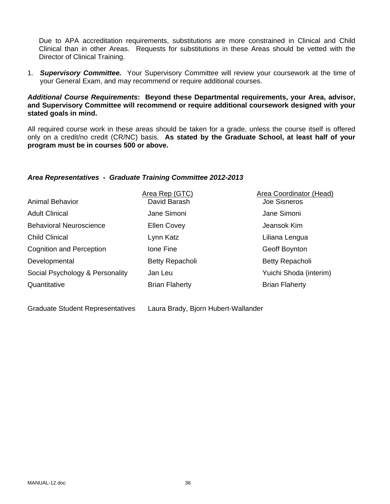Due to APA accreditation requirements, substitutions are more constrained in Clinical and Child Clinical than in other Areas. Requests for substitutions in these Areas should be vetted with the Director of Clinical Training.

1. *Supervisory Committee.* Your Supervisory Committee will review your coursework at the time of your General Exam, and may recommend or require additional courses.

#### *Additional Course Requirements***: Beyond these Departmental requirements, your Area, advisor, and Supervisory Committee will recommend or require additional coursework designed with your stated goals in mind.**

All required course work in these areas should be taken for a grade, unless the course itself is offered only on a credit/no credit (CR/NC) basis. **As stated by the Graduate School, at least half of your program must be in courses 500 or above.** 

## *Area Representatives - Graduate Training Committee 2012-2013*

| <b>Animal Behavior</b>          | Area Rep (GTC)<br>David Barash | <b>Area Coordinator (Head)</b><br>Joe Sisneros |
|---------------------------------|--------------------------------|------------------------------------------------|
| <b>Adult Clinical</b>           | Jane Simoni                    | Jane Simoni                                    |
| <b>Behavioral Neuroscience</b>  | <b>Ellen Covey</b>             | Jeansok Kim                                    |
| <b>Child Clinical</b>           | Lynn Katz                      | Liliana Lengua                                 |
| <b>Cognition and Perception</b> | Ione Fine                      | Geoff Boynton                                  |
| Developmental                   | <b>Betty Repacholi</b>         | Betty Repacholi                                |
| Social Psychology & Personality | Jan Leu                        | Yuichi Shoda (interim)                         |
| Quantitative                    | <b>Brian Flaherty</b>          | <b>Brian Flaherty</b>                          |
|                                 |                                |                                                |

Graduate Student Representatives Laura Brady, Bjorn Hubert-Wallander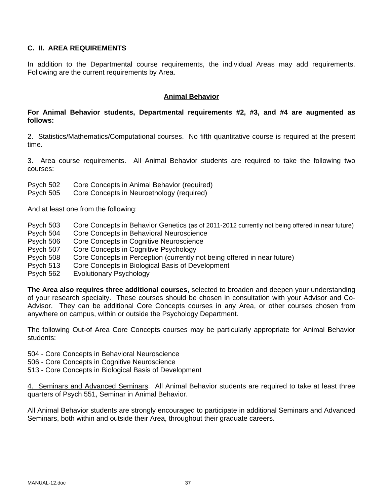# **C. II. AREA REQUIREMENTS**

In addition to the Departmental course requirements, the individual Areas may add requirements. Following are the current requirements by Area.

## **Animal Behavior**

## **For Animal Behavior students, Departmental requirements #2, #3, and #4 are augmented as follows:**

2. Statistics/Mathematics/Computational courses. No fifth quantitative course is required at the present time.

3. Area course requirements. All Animal Behavior students are required to take the following two courses:

Psych 502 Core Concepts in Animal Behavior (required)

Psych 505 Core Concepts in Neuroethology (required)

And at least one from the following:

- Psych 503 Core Concepts in Behavior Genetics (as of 2011-2012 currently not being offered in near future)
- Psych 504 Core Concepts in Behavioral Neuroscience
- Psych 506 Core Concepts in Cognitive Neuroscience
- Psych 507 Core Concepts in Cognitive Psychology
- Psych 508 Core Concepts in Perception (currently not being offered in near future)
- Psych 513 Core Concepts in Biological Basis of Development
- Psych 562 Evolutionary Psychology

**The Area also requires three additional courses**, selected to broaden and deepen your understanding of your research specialty. These courses should be chosen in consultation with your Advisor and Co-Advisor. They can be additional Core Concepts courses in any Area, or other courses chosen from anywhere on campus, within or outside the Psychology Department.

The following Out-of Area Core Concepts courses may be particularly appropriate for Animal Behavior students:

- 504 Core Concepts in Behavioral Neuroscience
- 506 Core Concepts in Cognitive Neuroscience
- 513 Core Concepts in Biological Basis of Development

4. Seminars and Advanced Seminars. All Animal Behavior students are required to take at least three quarters of Psych 551, Seminar in Animal Behavior.

All Animal Behavior students are strongly encouraged to participate in additional Seminars and Advanced Seminars, both within and outside their Area, throughout their graduate careers.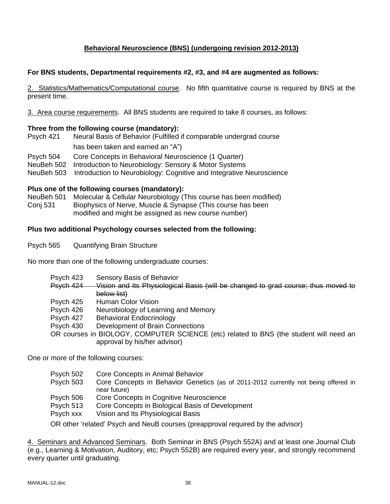# **Behavioral Neuroscience (BNS) (undergoing revision 2012-2013)**

## **For BNS students, Departmental requirements #2, #3, and #4 are augmented as follows:**

2. Statistics/Mathematics/Computational course. No fifth quantitative course is required by BNS at the present time.

3. Area course requirements. All BNS students are required to take 8 courses, as follows:

## **Three from the following course (mandatory):**

Psych 421 Neural Basis of Behavior (Fulfilled if comparable undergrad course has been taken and earned an "A") Psych 504 Core Concepts in Behavioral Neuroscience (1 Quarter)

NeuBeh 502 Introduction to Neurobiology: Sensory & Motor Systems

NeuBeh 503 Introduction to Neurobiology: Cognitive and Integrative Neuroscience

#### **Plus one of the following courses (mandatory):**

NeuBeh 501 Molecular & Cellular Neurobiology (This course has been modified) Conj 531 Biophysics of Nerve, Muscle & Synapse (This course has been modified and might be assigned as new course number)

## **Plus two additional Psychology courses selected from the following:**

Psych 565 Quantifying Brain Structure

No more than one of the following undergraduate courses:

| Psych 423 | Sensory Basis of Behavior                                                              |
|-----------|----------------------------------------------------------------------------------------|
| Psych 424 | Vision and Its Physiological Basis (will be changed to grad course; thus moved to      |
|           | below list)                                                                            |
| Psych 425 | <b>Human Color Vision</b>                                                              |
| Psych 426 | Neurobiology of Learning and Memory                                                    |
| Psych 427 | <b>Behavioral Endocrinology</b>                                                        |
| Psych 430 | Development of Brain Connections                                                       |
|           | OR courses in BIOLOGY, COMPUTER SCIENCE (etc) related to BNS (the student will need an |
|           | approval by his/her advisor)                                                           |
|           |                                                                                        |

One or more of the following courses:

- Psych 502 Core Concepts in Animal Behavior
- Psych 503 Core Concepts in Behavior Genetics (as of 2011-2012 currently not being offered in near future)
- Psych 506 Core Concepts in Cognitive Neuroscience
- Psych 513 Core Concepts in Biological Basis of Development
- Psych xxx Vision and Its Physiological Basis

OR other 'related' Psych and NeuB courses (preapproval required by the advisor)

4. Seminars and Advanced Seminars. Both Seminar in BNS (Psych 552A) and at least one Journal Club (e.g., Learning & Motivation, Auditory, etc; Psych 552B) are required every year, and strongly recommend every quarter until graduating.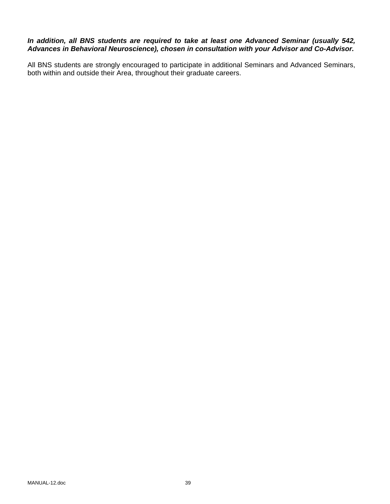# *In addition, all BNS students are required to take at least one Advanced Seminar (usually 542, Advances in Behavioral Neuroscience), chosen in consultation with your Advisor and Co-Advisor.*

All BNS students are strongly encouraged to participate in additional Seminars and Advanced Seminars, both within and outside their Area, throughout their graduate careers.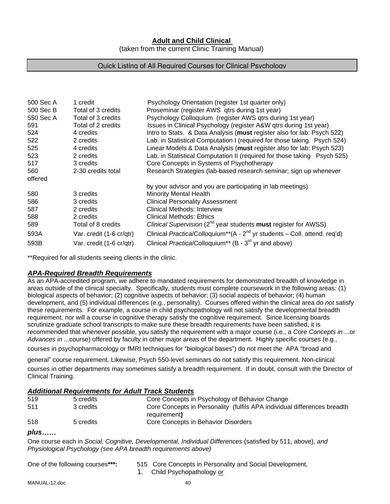# **Adult and Child Clinical**

(taken from the current Clinic Training Manual)

#### Quick Listing of All Required Courses for Clinical Psychology

| 500 Sec A | 1 credit                 | Psychology Orientation (register 1st quarter only)                                        |
|-----------|--------------------------|-------------------------------------------------------------------------------------------|
| 500 Sec B | Total of 3 credits       | Proseminar (register AWS gtrs during 1st year)                                            |
| 550 Sec A | Total of 3 credits       | Psychology Colloquium (register AWS gtrs during 1st year)                                 |
| 591       | Total of 2 credits       | Issues in Clinical Psychology (register A&W qtrs during 1st year)                         |
| 524       | 4 credits                | Intro to Stats. & Data Analysis (must register also for lab: Psych 522)                   |
| 522       | 2 credits                | Lab. in Statistical Computation I (required for those taking Psych 524)                   |
| 525       | 4 credits                | Linear Models & Data Analysis (must register also for lab: Psych 523)                     |
| 523       | 2 credits                | Lab. in Statistical Computation II (required for those taking Psych 525)                  |
| 517       | 3 credits                | Core Concepts in Systems of Psychotherapy                                                 |
| 560       | 2-30 credits total       | Research Strategies (lab-based research seminar; sign up whenever                         |
| offered   |                          |                                                                                           |
|           |                          | by your advisor and you are participating in lab meetings)                                |
| 580       | 3 credits                | <b>Minority Mental Health</b>                                                             |
| 586       | 3 credits                | <b>Clinical Personality Assessment</b>                                                    |
| 587       | 2 credits                | Clinical Methods: Interview                                                               |
| 588       | 2 credits                | Clinical Methods: Ethics                                                                  |
| 589       | Total of 8 credits       | Clinical Supervision (2 <sup>nd</sup> year students must register for AWSS)               |
| 593A      | Var. credit (1-6 cr/qtr) | Clinical Practica/Colloquium <sup>**</sup> ( $A - 2nd$ yr students – Coll. attend. req'd) |
| 593B      | Var. credit (1-6 cr/qtr) | Clinical Practica/Colloquium <sup>**</sup> (B - 3 <sup>rd</sup> yr and above)             |

\*\*Required for all students seeing clients in the clinic.

#### *APA-Required Breadth Requirements*

As an APA-accredited program, we adhere to mandated requirements for demonstrated breadth of knowledge in areas outside of the clinical specialty. Specifically, students must complete coursework in the following areas: (1) biological aspects of behavior; (2) cognitive aspects of behavior; (3) social aspects of behavior; (4) human development, and (5) individual differences (e.g., personality). Courses offered within the clinical area do *not* satisfy these requirements. For example, a course in child psychopathology will not satisfy the developmental breadth requirement, nor will a course in cognitive therapy satisfy the cognitive requirement. Since licensing boards scrutinize graduate school transcripts to make sure these breadth requirements have been satisfied, it is recommended that whenever possible, you satisfy the requirement with a major course (i.e., a *Core Concepts in* ...or *Advances in* ...course) offered by faculty in other major areas of the department. Highly specific courses (e.g., courses in psychopharmacology or fMRI techniques for "biological bases") do not meet the APA "broad and

general" course requirement. Likewise, Psych 550-level seminars do not satisfy this requirement. Non-clinical courses in other departments may sometimes satisfy a breadth requirement. If in doubt, consult with the Director of Clinical Training.

#### *Additional Requirements for Adult Track Students*

| 519 | 5 credits  | Core Concepts in Psychology of Behavior Change                           |
|-----|------------|--------------------------------------------------------------------------|
| 511 | 3 credits. | Core Concepts in Personality (fulfils APA individual differences breadth |
|     |            | requirement)                                                             |
| 518 | 5 credits  | Core Concepts in Behavior Disorders                                      |

#### *plus*……

One course each in *Social, Cognitive, Developmental, Individual Differences* (satisfied by 511, above), *and Physiological Psychology (see APA breadth requirements above)* 

| One of the following courses***: | 515 Core Concepts in Personality and Social Development, |
|----------------------------------|----------------------------------------------------------|
|                                  | 1. Child Psychopathology or                              |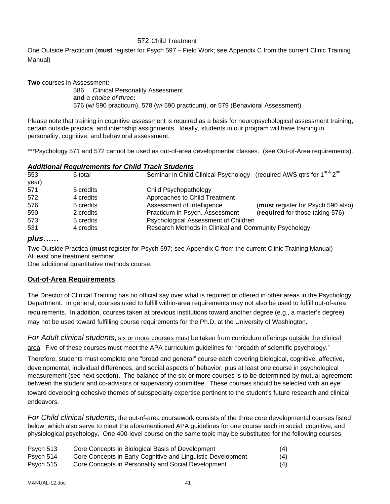#### 572. Child Treatment

One Outside Practicum (**must** register for Psych 597 – Field Work; see Appendix C from the current Clinic Training Manual)

**Two** courses in Assessment:

 586 Clinical Personality Assessment **and** *a choice of three***:**  576 (w/ 590 practicum), 578 (w/ 590 practicum), **or** 579 (Behavioral Assessment)

Please note that training in cognitive assessment is required as a basis for neuropsychological assessment training, certain outside practica, and internship assignments. Ideally, students in our program will have training in personality, cognitive, and behavioral assessment.

\*\*\*Psychology 571 and 572 cannot be used as out-of-area developmental classes. (see Out-of-Area requirements).

| <b>Additional Requirements for Child Track Students</b> |  |  |
|---------------------------------------------------------|--|--|
|                                                         |  |  |

| 553   | 6 total   | Seminar in Child Clinical Psychology (required AWS qtrs for 1 <sup>st &amp;</sup> 2 <sup>nd</sup> |                                    |
|-------|-----------|---------------------------------------------------------------------------------------------------|------------------------------------|
| year) |           |                                                                                                   |                                    |
| 571   | 5 credits | Child Psychopathology                                                                             |                                    |
| 572   | 4 credits | Approaches to Child Treatment                                                                     |                                    |
| 576   | 5 credits | Assessment of Intelligence                                                                        | (must register for Psych 590 also) |
| 590   | 2 credits | Practicum in Psych. Assessment                                                                    | (required for those taking 576)    |
| 573   | 5 credits | Psychological Assessment of Children                                                              |                                    |
| 531   | 4 credits | Research Methods in Clinical and Community Psychology                                             |                                    |

# *plus*……

Two Outside Practica (**must** register for Psych 597; see Appendix C from the current Clinic Training Manual) At least one treatment seminar.

One additional quantitative methods course.

# **Out-of-Area Requirements**

The Director of Clinical Training has no official say over what is required or offered in other areas in the Psychology Department. In general, courses used to fulfill within-area requirements may not also be used to fulfill out-of-area requirements. In addition, courses taken at previous institutions toward another degree (e.g., a master's degree) may not be used toward fulfilling course requirements for the Ph.D. at the University of Washington.

*For Adult clinical students*, six or more courses must be taken from curriculum offerings outside the clinical area. Five of these courses must meet the APA curriculum guidelines for "breadth of scientific psychology."

Therefore, students must complete one "broad and general" course each covering biological, cognitive, affective, developmental, individual differences, and social aspects of behavior, plus at least one course in psychological measurement (see next section). The balance of the six-or-more courses is to be determined by mutual agreement between the student and co-advisors or supervisory committee. These courses should be selected with an eye toward developing cohesive themes of subspecialty expertise pertinent to the student's future research and clinical endeavors.

*For Child clinical students*, the out-of-area coursework consists of the three core developmental courses listed below, which also serve to meet the aforementioned APA guidelines for one course each in social, cognitive, and physiological psychology. One 400-level course on the same topic may be substituted for the following courses.

| Psych 513 | Core Concepts in Biological Basis of Development            | (4) |
|-----------|-------------------------------------------------------------|-----|
| Psych 514 | Core Concepts in Early Cognitive and Linguistic Development | (4) |
| Psych 515 | Core Concepts in Personality and Social Development         | (4) |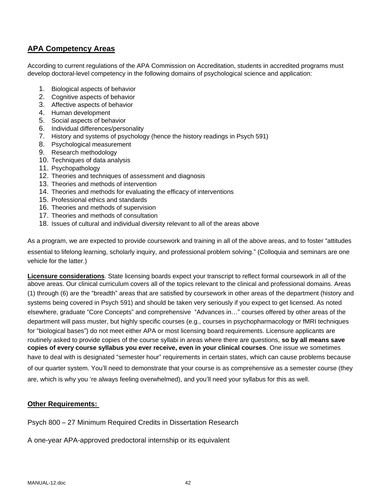# **APA Competency Areas**

According to current regulations of the APA Commission on Accreditation, students in accredited programs must develop doctoral-level competency in the following domains of psychological science and application:

- 1. Biological aspects of behavior
- 2. Cognitive aspects of behavior
- 3. Affective aspects of behavior
- 4. Human development
- 5. Social aspects of behavior
- 6. Individual differences/personality
- 7. History and systems of psychology (hence the history readings in Psych 591)
- 8. Psychological measurement
- 9. Research methodology
- 10. Techniques of data analysis
- 11. Psychopathology
- 12. Theories and techniques of assessment and diagnosis
- 13. Theories and methods of intervention
- 14. Theories and methods for evaluating the efficacy of interventions
- 15. Professional ethics and standards
- 16. Theories and methods of supervision
- 17. Theories and methods of consultation
- 18. Issues of cultural and individual diversity relevant to all of the areas above

As a program, we are expected to provide coursework and training in all of the above areas, and to foster "attitudes essential to lifelong learning, scholarly inquiry, and professional problem solving." (Colloquia and seminars are one vehicle for the latter.)

**Licensure considerations**. State licensing boards expect your transcript to reflect formal coursework in all of the above areas. Our clinical curriculum covers all of the topics relevant to the clinical and professional domains. Areas (1) through (6) are the "breadth" areas that are satisfied by coursework in other areas of the department (history and systems being covered in Psych 591) and should be taken very seriously if you expect to get licensed. As noted elsewhere, graduate "Core Concepts" and comprehensive "Advances in…" courses offered by other areas of the department will pass muster, but highly specific courses (e.g., courses in psychopharmacology or fMRI techniques for "biological bases") do not meet either APA or most licensing board requirements. Licensure applicants are routinely asked to provide copies of the course syllabi in areas where there are questions, **so by all means save copies of every course syllabus you ever receive, even in your clinical courses**. One issue we sometimes have to deal with is designated "semester hour" requirements in certain states, which can cause problems because of our quarter system. You'll need to demonstrate that your course is as comprehensive as a semester course (they are, which is why you 're always feeling overwhelmed), and you'll need your syllabus for this as well.

# **Other Requirements:**

Psych 800 – 27 Minimum Required Credits in Dissertation Research

A one-year APA-approved predoctoral internship or its equivalent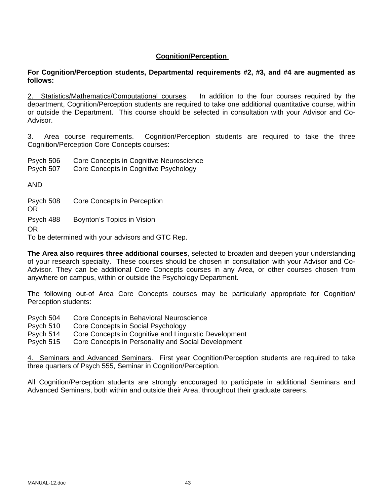# **Cognition/Perception**

# **For Cognition/Perception students, Departmental requirements #2, #3, and #4 are augmented as follows:**

2. Statistics/Mathematics/Computational courses. In addition to the four courses required by the department, Cognition/Perception students are required to take one additional quantitative course, within or outside the Department. This course should be selected in consultation with your Advisor and Co-Advisor.

Area course requirements. Cognition/Perception students are required to take the three Cognition/Perception Core Concepts courses:

Psych 506 Core Concepts in Cognitive Neuroscience

Psych 507 Core Concepts in Cognitive Psychology

AND

Psych 508 Core Concepts in Perception

OR

Psych 488 Boynton's Topics in Vision

OR

To be determined with your advisors and GTC Rep.

**The Area also requires three additional courses**, selected to broaden and deepen your understanding of your research specialty. These courses should be chosen in consultation with your Advisor and Co-Advisor. They can be additional Core Concepts courses in any Area, or other courses chosen from anywhere on campus, within or outside the Psychology Department.

The following out-of Area Core Concepts courses may be particularly appropriate for Cognition/ Perception students:

Psych 504 Core Concepts in Behavioral Neuroscience

Psych 510 Core Concepts in Social Psychology

Psych 514 Core Concepts in Cognitive and Linguistic Development

Psych 515 Core Concepts in Personality and Social Development

4. Seminars and Advanced Seminars. First year Cognition/Perception students are required to take three quarters of Psych 555, Seminar in Cognition/Perception.

All Cognition/Perception students are strongly encouraged to participate in additional Seminars and Advanced Seminars, both within and outside their Area, throughout their graduate careers.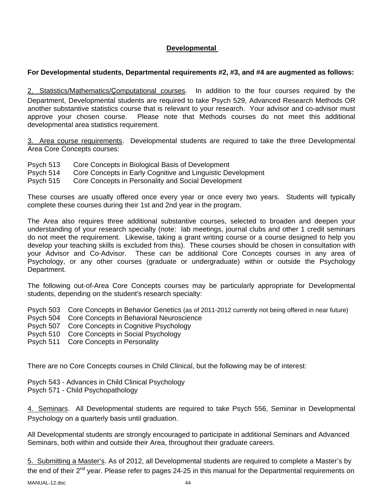# **Developmental**

# **For Developmental students, Departmental requirements #2, #3, and #4 are augmented as follows:**

2. Statistics/Mathematics/Çomputational courses. In addition to the four courses required by the Department, Developmental students are required to take Psych 529, Advanced Research Methods OR another substantive statistics course that is relevant to your research. Your advisor and co-advisor must approve your chosen course. Please note that Methods courses do not meet this additional developmental area statistics requirement.

3. Area course requirements. Developmental students are required to take the three Developmental Area Core Concepts courses:

- Psych 513 Core Concepts in Biological Basis of Development
- Psych 514 Core Concepts in Early Cognitive and Linguistic Development

Psych 515 Core Concepts in Personality and Social Development

These courses are usually offered once every year or once every two years. Students will typically complete these courses during their 1st and 2nd year in the program.

The Area also requires three additional substantive courses, selected to broaden and deepen your understanding of your research specialty (note: lab meetings, journal clubs and other 1 credit seminars do not meet the requirement. Likewise, taking a grant writing course or a course designed to help you develop your teaching skills is excluded from this). These courses should be chosen in consultation with your Advisor and Co-Advisor. These can be additional Core Concepts courses in any area of Psychology, or any other courses (graduate or undergraduate) within or outside the Psychology Department.

The following out-of-Area Core Concepts courses may be particularly appropriate for Developmental students, depending on the student's research specialty:

Psych 503 Core Concepts in Behavior Genetics (as of 2011-2012 currently not being offered in near future)

- Psych 504 Core Concepts in Behavioral Neuroscience
- Psych 507 Core Concepts in Cognitive Psychology
- Psych 510 Core Concepts in Social Psychology
- Psych 511 Core Concepts in Personality

There are no Core Concepts courses in Child Clinical, but the following may be of interest:

Psych 543 - Advances in Child Clinical Psychology Psych 571 - Child Psychopathology

4. Seminars. All Developmental students are required to take Psych 556, Seminar in Developmental Psychology on a quarterly basis until graduation.

All Developmental students are strongly encouraged to participate in additional Seminars and Advanced Seminars, both within and outside their Area, throughout their graduate careers.

5. Submitting a Master's. As of 2012, all Developmental students are required to complete a Master's by the end of their 2<sup>nd</sup> year. Please refer to pages 24-25 in this manual for the Departmental requirements on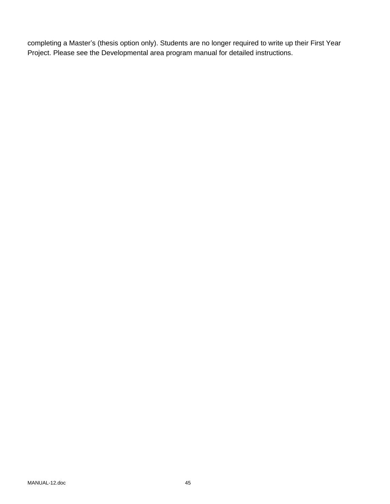completing a Master's (thesis option only). Students are no longer required to write up their First Year Project. Please see the Developmental area program manual for detailed instructions.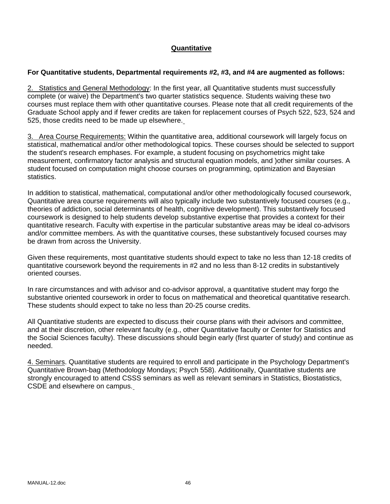# **Quantitative**

## **For Quantitative students, Departmental requirements #2, #3, and #4 are augmented as follows:**

2. Statistics and General Methodology: In the first year, all Quantitative students must successfully complete (or waive) the Department's two quarter statistics sequence. Students waiving these two courses must replace them with other quantitative courses. Please note that all credit requirements of the Graduate School apply and if fewer credits are taken for replacement courses of Psych 522, 523, 524 and 525, those credits need to be made up elsewhere.

3. Area Course Requirements: Within the quantitative area, additional coursework will largely focus on statistical, mathematical and/or other methodological topics. These courses should be selected to support the student's research emphases. For example, a student focusing on psychometrics might take measurement, confirmatory factor analysis and structural equation models, and )other similar courses. A student focused on computation might choose courses on programming, optimization and Bayesian statistics.

In addition to statistical, mathematical, computational and/or other methodologically focused coursework, Quantitative area course requirements will also typically include two substantively focused courses (e.g., theories of addiction, social determinants of health, cognitive development). This substantively focused coursework is designed to help students develop substantive expertise that provides a context for their quantitative research. Faculty with expertise in the particular substantive areas may be ideal co-advisors and/or committee members. As with the quantitative courses, these substantively focused courses may be drawn from across the University.

Given these requirements, most quantitative students should expect to take no less than 12-18 credits of quantitative coursework beyond the requirements in #2 and no less than 8-12 credits in substantively oriented courses.

In rare circumstances and with advisor and co-advisor approval, a quantitative student may forgo the substantive oriented coursework in order to focus on mathematical and theoretical quantitative research. These students should expect to take no less than 20-25 course credits.

All Quantitative students are expected to discuss their course plans with their advisors and committee, and at their discretion, other relevant faculty (e.g., other Quantitative faculty or Center for Statistics and the Social Sciences faculty). These discussions should begin early (first quarter of study) and continue as needed.

4. Seminars. Quantitative students are required to enroll and participate in the Psychology Department's Quantitative Brown-bag (Methodology Mondays; Psych 558). Additionally, Quantitative students are strongly encouraged to attend CSSS seminars as well as relevant seminars in Statistics, Biostatistics, CSDE and elsewhere on campus.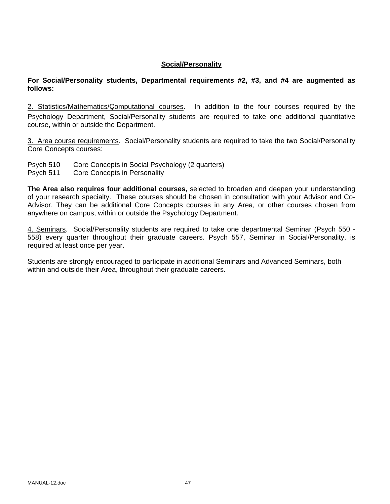## **Social/Personality**

**For Social/Personality students, Departmental requirements #2, #3, and #4 are augmented as follows:** 

2. Statistics/Mathematics/Çomputational courses. In addition to the four courses required by the Psychology Department, Social/Personality students are required to take one additional quantitative course, within or outside the Department.

3. Area course requirements. Social/Personality students are required to take the two Social/Personality Core Concepts courses:

Psych 510 Core Concepts in Social Psychology (2 quarters) Psych 511 Core Concepts in Personality

**The Area also requires four additional courses,** selected to broaden and deepen your understanding of your research specialty. These courses should be chosen in consultation with your Advisor and Co-Advisor. They can be additional Core Concepts courses in any Area, or other courses chosen from anywhere on campus, within or outside the Psychology Department.

4. Seminars. Social/Personality students are required to take one departmental Seminar (Psych 550 - 558) every quarter throughout their graduate careers. Psych 557, Seminar in Social/Personality, is required at least once per year.

Students are strongly encouraged to participate in additional Seminars and Advanced Seminars, both within and outside their Area, throughout their graduate careers.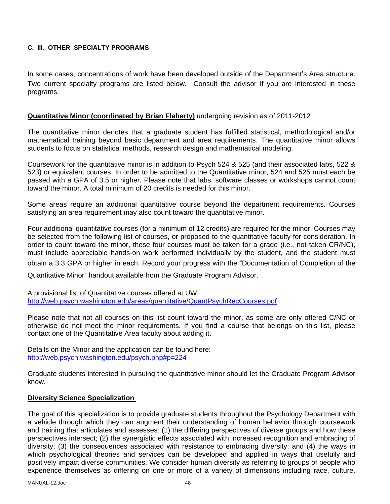# **C. III. OTHER SPECIALTY PROGRAMS**

In some cases, concentrations of work have been developed outside of the Department's Area structure. Two current specialty programs are listed below. Consult the advisor if you are interested in these programs.

## **Quantitative Minor (coordinated by Brian Flaherty)** undergoing revision as of 2011-2012

The quantitative minor denotes that a graduate student has fulfilled statistical, methodological and/or mathematical training beyond basic department and area requirements. The quantitative minor allows students to focus on statistical methods, research design and mathematical modeling.

Coursework for the quantitative minor is in addition to Psych 524 & 525 (and their associated labs, 522 & 523) or equivalent courses. In order to be admitted to the Quantitative minor, 524 and 525 must each be passed with a GPA of 3.5 or higher. Please note that labs, software classes or workshops cannot count toward the minor. A total minimum of 20 credits is needed for this minor.

Some areas require an additional quantitative course beyond the department requirements. Courses satisfying an area requirement may also count toward the quantitative minor.

Four additional quantitative courses (for a minimum of 12 credits) are required for the minor. Courses may be selected from the following list of courses, or proposed to the quantitative faculty for consideration. In order to count toward the minor, these four courses must be taken for a grade (i.e., not taken CR/NC), must include appreciable hands-on work performed individually by the student, and the student must obtain a 3.3 GPA or higher in each. Record your progress with the "Documentation of Completion of the Quantitative Minor" handout available from the Graduate Program Advisor.

A provisional list of Quantitative courses offered at UW: http://web.psych.washington.edu/areas/quantitative/QuantPsychRecCourses.pdf

Please note that not all courses on this list count toward the minor, as some are only offered C/NC or otherwise do not meet the minor requirements. If you find a course that belongs on this list, please contact one of the Quantitative Area faculty about adding it.

Details on the Minor and the application can be found here: http://web.psych.washington.edu/psych.php#p=224

Graduate students interested in pursuing the quantitative minor should let the Graduate Program Advisor know.

#### **Diversity Science Specialization**

The goal of this specialization is to provide graduate students throughout the Psychology Department with a vehicle through which they can augment their understanding of human behavior through coursework and training that articulates and assesses: (1) the differing perspectives of diverse groups and how these perspectives intersect; (2) the synergistic effects associated with increased recognition and embracing of diversity; (3) the consequences associated with resistance to embracing diversity; and (4) the ways in which psychological theories and services can be developed and applied in ways that usefully and positively impact diverse communities. We consider human diversity as referring to groups of people who experience themselves as differing on one or more of a variety of dimensions including race, culture,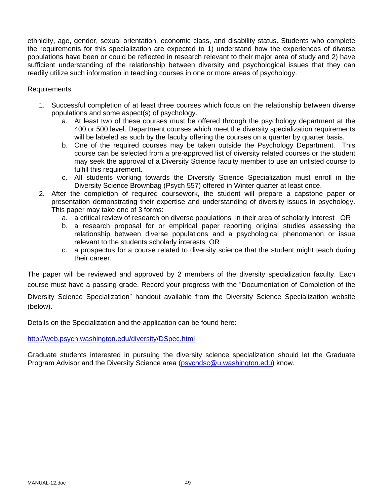ethnicity, age, gender, sexual orientation, economic class, and disability status. Students who complete the requirements for this specialization are expected to 1) understand how the experiences of diverse populations have been or could be reflected in research relevant to their major area of study and 2) have sufficient understanding of the relationship between diversity and psychological issues that they can readily utilize such information in teaching courses in one or more areas of psychology.

## Requirements

- 1. Successful completion of at least three courses which focus on the relationship between diverse populations and some aspect(s) of psychology.
	- a. At least two of these courses must be offered through the psychology department at the 400 or 500 level. Department courses which meet the diversity specialization requirements will be labeled as such by the faculty offering the courses on a quarter by quarter basis.
	- b. One of the required courses may be taken outside the Psychology Department. This course can be selected from a pre-approved list of diversity related courses or the student may seek the approval of a Diversity Science faculty member to use an unlisted course to fulfill this requirement.
	- c. All students working towards the Diversity Science Specialization must enroll in the Diversity Science Brownbag (Psych 557) offered in Winter quarter at least once.
- 2. After the completion of required coursework, the student will prepare a capstone paper or presentation demonstrating their expertise and understanding of diversity issues in psychology. This paper may take one of 3 forms:
	- a. a critical review of research on diverse populations in their area of scholarly interest OR
	- b. a research proposal for or empirical paper reporting original studies assessing the relationship between diverse populations and a psychological phenomenon or issue relevant to the students scholarly interests OR
	- c. a prospectus for a course related to diversity science that the student might teach during their career.

The paper will be reviewed and approved by 2 members of the diversity specialization faculty. Each course must have a passing grade. Record your progress with the "Documentation of Completion of the

Diversity Science Specialization" handout available from the Diversity Science Specialization website (below).

Details on the Specialization and the application can be found here:

http://web.psych.washington.edu/diversity/DSpec.html

Graduate students interested in pursuing the diversity science specialization should let the Graduate Program Advisor and the Diversity Science area (psychdsc@u.washington.edu) know.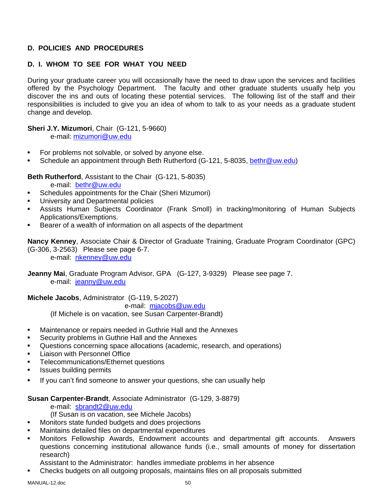# **D. POLICIES AND PROCEDURES**

# **D. I. WHOM TO SEE FOR WHAT YOU NEED**

During your graduate career you will occasionally have the need to draw upon the services and facilities offered by the Psychology Department. The faculty and other graduate students usually help you discover the ins and outs of locating these potential services. The following list of the staff and their responsibilities is included to give you an idea of whom to talk to as your needs as a graduate student change and develop.

**Sheri J.Y. Mizumori**, Chair (G-121, 5-9660)

e-mail: mizumori@uw.edu

- For problems not solvable, or solved by anyone else.
- Schedule an appointment through Beth Rutherford (G-121, 5-8035, bethr@uw.edu)

**Beth Rutherford**, Assistant to the Chair (G-121, 5-8035)

e-mail: bethr@uw.edu

- Schedules appointments for the Chair (Sheri Mizumori)
- University and Departmental policies
- Assists Human Subjects Coordinator (Frank Smoll) in tracking/monitoring of Human Subjects Applications/Exemptions.
- Bearer of a wealth of information on all aspects of the department

**Nancy Kenney**, Associate Chair & Director of Graduate Training, Graduate Program Coordinator (GPC) (G-306, 3-2563) Please see page 6-7.

e-mail: nkenney@uw.edu

**Jeanny Mai**, Graduate Program Advisor, GPA (G-127, 3-9329) Please see page 7. e-mail: jeanny@uw.edu

**Michele Jacobs**, Administrator (G-119, 5-2027)

e-mail: mjacobs@uw.edu

(If Michele is on vacation, see Susan Carpenter-Brandt)

- Maintenance or repairs needed in Guthrie Hall and the Annexes
- Security problems in Guthrie Hall and the Annexes
- Questions concerning space allocations (academic, research, and operations)
- Liaison with Personnel Office
- Telecommunications/Ethernet questions
- Issues building permits
- If you can't find someone to answer your questions, she can usually help

#### **Susan Carpenter-Brandt**, Associate Administrator (G-129, 3-8879)

e-mail: sbrandt2@uw.edu

- (If Susan is on vacation, see Michele Jacobs)
- Monitors state funded budgets and does projections
- Maintains detailed files on departmental expenditures
- Monitors Fellowship Awards, Endowment accounts and departmental gift accounts. Answers questions concerning institutional allowance funds (i.e., small amounts of money for dissertation research)
- Assistant to the Administrator: handles immediate problems in her absence
- Checks budgets on all outgoing proposals, maintains files on all proposals submitted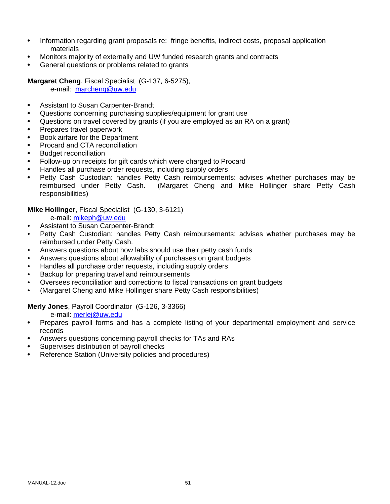- Information regarding grant proposals re: fringe benefits, indirect costs, proposal application materials
- Monitors majority of externally and UW funded research grants and contracts
- General questions or problems related to grants

**Margaret Cheng**, Fiscal Specialist (G-137, 6-5275),

e-mail: marcheng@uw.edu

- Assistant to Susan Carpenter-Brandt
- Questions concerning purchasing supplies/equipment for grant use
- Questions on travel covered by grants (if you are employed as an RA on a grant)
- Prepares travel paperwork
- Book airfare for the Department
- Procard and CTA reconciliation
- Budget reconciliation
- Follow-up on receipts for gift cards which were charged to Procard
- Handles all purchase order requests, including supply orders
- Petty Cash Custodian: handles Petty Cash reimbursements: advises whether purchases may be reimbursed under Petty Cash. (Margaret Cheng and Mike Hollinger share Petty Cash responsibilities)

**Mike Hollinger**, Fiscal Specialist (G-130, 3-6121)

- e-mail: mikeph@uw.edu
- Assistant to Susan Carpenter-Brandt
- Petty Cash Custodian: handles Petty Cash reimbursements: advises whether purchases may be reimbursed under Petty Cash.
- Answers questions about how labs should use their petty cash funds
- Answers questions about allowability of purchases on grant budgets
- Handles all purchase order requests, including supply orders
- Backup for preparing travel and reimbursements
- Oversees reconciliation and corrections to fiscal transactions on grant budgets
- (Margaret Cheng and Mike Hollinger share Petty Cash responsibilities)

**Merly Jones**, Payroll Coordinator (G-126, 3-3366)

e-mail: merlej@uw.edu

- Prepares payroll forms and has a complete listing of your departmental employment and service records
- Answers questions concerning payroll checks for TAs and RAs
- Supervises distribution of payroll checks
- Reference Station (University policies and procedures)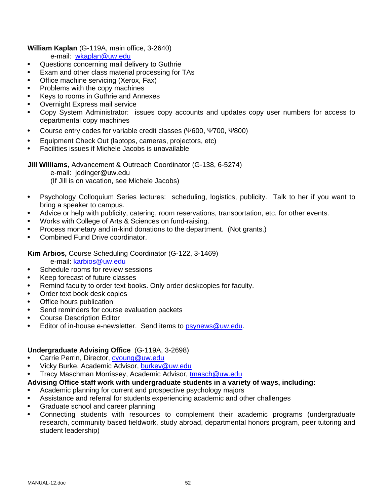**William Kaplan** (G-119A, main office, 3-2640)

e-mail: wkaplan@uw.edu

- Questions concerning mail delivery to Guthrie
- Exam and other class material processing for TAs
- Office machine servicing (Xerox, Fax)
- Problems with the copy machines
- Keys to rooms in Guthrie and Annexes
- Overnight Express mail service
- Copy System Administrator: issues copy accounts and updates copy user numbers for access to departmental copy machines
- Course entry codes for variable credit classes (Ψ600, Ψ700, Ψ800)
- Equipment Check Out (laptops, cameras, projectors, etc)
- Facilities issues if Michele Jacobs is unavailable

**Jill Williams**, Advancement & Outreach Coordinator (G-138, 6-5274)

e-mail: jedinger@uw.edu

(If Jill is on vacation, see Michele Jacobs)

- Psychology Colloquium Series lectures: scheduling, logistics, publicity. Talk to her if you want to bring a speaker to campus.
- Advice or help with publicity, catering, room reservations, transportation, etc. for other events.
- Works with College of Arts & Sciences on fund-raising.
- Process monetary and in-kind donations to the department. (Not grants.)
- Combined Fund Drive coordinator.

**Kim Arbios,** Course Scheduling Coordinator (G-122, 3-1469)

e-mail: karbios@uw.edu

- Schedule rooms for review sessions
- Keep forecast of future classes
- Remind faculty to order text books. Only order deskcopies for faculty.
- Order text book desk copies
- Office hours publication
- Send reminders for course evaluation packets
- Course Description Editor
- Editor of in-house e-newsletter. Send items to psynews@uw.edu.

# **Undergraduate Advising Office** (G-119A, 3-2698)

- Carrie Perrin, Director, cyoung@uw.edu
- Vicky Burke, Academic Advisor, burkev@uw.edu
- Tracy Maschman Morrissey, Academic Advisor, tmasch@uw.edu

# **Advising Office staff work with undergraduate students in a variety of ways, including:**

- Academic planning for current and prospective psychology majors
- Assistance and referral for students experiencing academic and other challenges
- Graduate school and career planning
- Connecting students with resources to complement their academic programs (undergraduate research, community based fieldwork, study abroad, departmental honors program, peer tutoring and student leadership)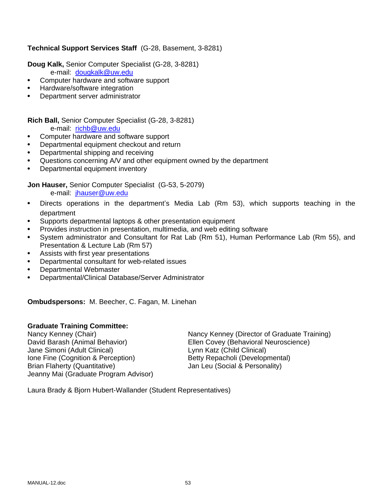# **Technical Support Services Staff** (G-28, Basement, 3-8281)

**Doug Kalk,** Senior Computer Specialist (G-28, 3-8281)

- e-mail: dougkalk@uw.edu
- Computer hardware and software support
- Hardware/software integration
- Department server administrator

#### **Rich Ball,** Senior Computer Specialist (G-28, 3-8281) e-mail: richb@uw.edu

- Computer hardware and software support
- Departmental equipment checkout and return
- Departmental shipping and receiving
- Questions concerning A/V and other equipment owned by the department
- Departmental equipment inventory

# **Jon Hauser,** Senior Computer Specialist (G-53, 5-2079)

e-mail: jhauser@uw.edu

- Directs operations in the department's Media Lab (Rm 53), which supports teaching in the department
- Supports departmental laptops & other presentation equipment
- Provides instruction in presentation, multimedia, and web editing software
- System administrator and Consultant for Rat Lab (Rm 51), Human Performance Lab (Rm 55), and Presentation & Lecture Lab (Rm 57)
- Assists with first year presentations
- Departmental consultant for web-related issues
- Departmental Webmaster
- Departmental/Clinical Database/Server Administrator

**Ombudspersons:** M. Beecher, C. Fagan, M. Linehan

# **Graduate Training Committee:**

David Barash (Animal Behavior) Ellen Covey (Behavioral Neuroscience) Jane Simoni (Adult Clinical) Lynn Katz (Child Clinical) Ione Fine (Cognition & Perception) Betty Repacholi (Developmental) Brian Flaherty (Quantitative) Jan Leu (Social & Personality) Jeanny Mai (Graduate Program Advisor)

Nancy Kenney (Chair) Nancy Kenney (Director of Graduate Training)

Laura Brady & Bjorn Hubert-Wallander (Student Representatives)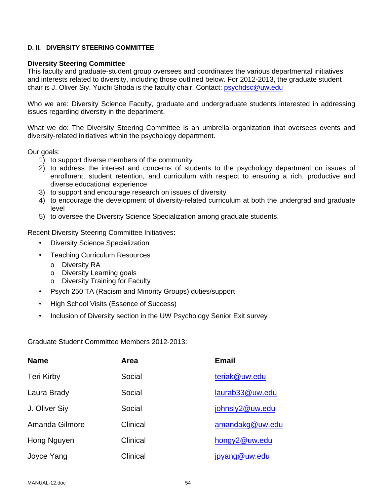#### **D. II. DIVERSITY STEERING COMMITTEE**

#### **Diversity Steering Committee**

This faculty and graduate-student group oversees and coordinates the various departmental initiatives and interests related to diversity, including those outlined below. For 2012-2013, the graduate student chair is J. Oliver Siy. Yuichi Shoda is the faculty chair. Contact: psychdsc@uw.edu

Who we are: Diversity Science Faculty, graduate and undergraduate students interested in addressing issues regarding diversity in the department.

What we do: The Diversity Steering Committee is an umbrella organization that oversees events and diversity-related initiatives within the psychology department.

Our goals:

- 1) to support diverse members of the community
- 2) to address the interest and concerns of students to the psychology department on issues of enrollment, student retention, and curriculum with respect to ensuring a rich, productive and diverse educational experience
- 3) to support and encourage research on issues of diversity
- 4) to encourage the development of diversity-related curriculum at both the undergrad and graduate level
- 5) to oversee the Diversity Science Specialization among graduate students.

Recent Diversity Steering Committee Initiatives:

- Diversity Science Specialization
- Teaching Curriculum Resources
	- o Diversity RA
	- o Diversity Learning goals
	- o Diversity Training for Faculty
- Psych 250 TA (Racism and Minority Groups) duties/support
- High School Visits (Essence of Success)
- Inclusion of Diversity section in the UW Psychology Senior Exit survey

Graduate Student Committee Members 2012-2013:

| <b>Name</b>       | Area     | <b>Email</b>    |
|-------------------|----------|-----------------|
| <b>Teri Kirby</b> | Social   | teriak@uw.edu   |
| Laura Brady       | Social   | laurab33@uw.edu |
| J. Oliver Siy     | Social   | johnsiy2@uw.edu |
| Amanda Gilmore    | Clinical | amandakg@uw.edu |
| Hong Nguyen       | Clinical | hongy2@uw.edu   |
| Joyce Yang        | Clinical | jpyang@uw.edu   |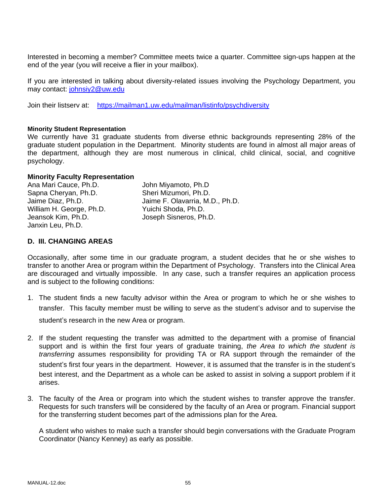Interested in becoming a member? Committee meets twice a quarter. Committee sign-ups happen at the end of the year (you will receive a flier in your mailbox).

If you are interested in talking about diversity-related issues involving the Psychology Department, you may contact: johnsiy2@uw.edu

Join their listserv at: https://mailman1.uw.edu/mailman/listinfo/psychdiversity

#### **Minority Student Representation**

We currently have 31 graduate students from diverse ethnic backgrounds representing 28% of the graduate student population in the Department. Minority students are found in almost all major areas of the department, although they are most numerous in clinical, child clinical, social, and cognitive psychology.

#### **Minority Faculty Representation**

Ana Mari Cauce, Ph.D. John Miyamoto, Ph.D Sapna Cheryan, Ph.D. Sheri Mizumori, Ph.D. Jaime Diaz, Ph.D. Jaime F. Olavarria, M.D., Ph.D. William H. George, Ph.D. Yuichi Shoda, Ph.D. Jeansok Kim, Ph.D. Joseph Sisneros, Ph.D. Janxin Leu, Ph.D.

## **D. III. CHANGING AREAS**

Occasionally, after some time in our graduate program, a student decides that he or she wishes to transfer to another Area or program within the Department of Psychology. Transfers into the Clinical Area are discouraged and virtually impossible. In any case, such a transfer requires an application process and is subject to the following conditions:

- 1. The student finds a new faculty advisor within the Area or program to which he or she wishes to transfer. This faculty member must be willing to serve as the student's advisor and to supervise the student's research in the new Area or program.
- 2. If the student requesting the transfer was admitted to the department with a promise of financial support and is within the first four years of graduate training, *the Area to which the student is transferring* assumes responsibility for providing TA or RA support through the remainder of the student's first four years in the department. However, it is assumed that the transfer is in the student's best interest, and the Department as a whole can be asked to assist in solving a support problem if it arises.
- 3. The faculty of the Area or program into which the student wishes to transfer approve the transfer. Requests for such transfers will be considered by the faculty of an Area or program. Financial support for the transferring student becomes part of the admissions plan for the Area.

 A student who wishes to make such a transfer should begin conversations with the Graduate Program Coordinator (Nancy Kenney) as early as possible.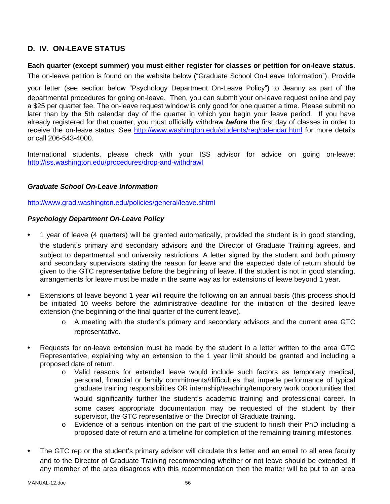# **D. IV. ON-LEAVE STATUS**

## **Each quarter (except summer) you must either register for classes or petition for on-leave status.**

The on-leave petition is found on the website below ("Graduate School On-Leave Information"). Provide

your letter (see section below "Psychology Department On-Leave Policy") to Jeanny as part of the departmental procedures for going on-leave. Then, you can submit your on-leave request online and pay a \$25 per quarter fee. The on-leave request window is only good for one quarter a time. Please submit no later than by the 5th calendar day of the quarter in which you begin your leave period. If you have already registered for that quarter, you must officially withdraw *before* the first day of classes in order to receive the on-leave status. See http://www.washington.edu/students/reg/calendar.html for more details or call 206-543-4000.

International students, please check with your ISS advisor for advice on going on-leave: http://iss.washington.edu/procedures/drop-and-withdrawl

# *Graduate School On-Leave Information*

http://www.grad.washington.edu/policies/general/leave.shtml

## *Psychology Department On-Leave Policy*

- 1 year of leave (4 quarters) will be granted automatically, provided the student is in good standing, the student's primary and secondary advisors and the Director of Graduate Training agrees, and subject to departmental and university restrictions. A letter signed by the student and both primary and secondary supervisors stating the reason for leave and the expected date of return should be given to the GTC representative before the beginning of leave. If the student is not in good standing, arrangements for leave must be made in the same way as for extensions of leave beyond 1 year.
- Extensions of leave beyond 1 year will require the following on an annual basis (this process should be initiated 10 weeks before the administrative deadline for the initiation of the desired leave extension (the beginning of the final quarter of the current leave).
	- o A meeting with the student's primary and secondary advisors and the current area GTC representative.
- Requests for on-leave extension must be made by the student in a letter written to the area GTC Representative, explaining why an extension to the 1 year limit should be granted and including a proposed date of return.
	- o Valid reasons for extended leave would include such factors as temporary medical, personal, financial or family commitments/difficulties that impede performance of typical graduate training responsibilities OR internship/teaching/temporary work opportunities that would significantly further the student's academic training and professional career. In some cases appropriate documentation may be requested of the student by their supervisor, the GTC representative or the Director of Graduate training.
	- o Evidence of a serious intention on the part of the student to finish their PhD including a proposed date of return and a timeline for completion of the remaining training milestones.
- The GTC rep or the student's primary advisor will circulate this letter and an email to all area faculty and to the Director of Graduate Training recommending whether or not leave should be extended. If any member of the area disagrees with this recommendation then the matter will be put to an area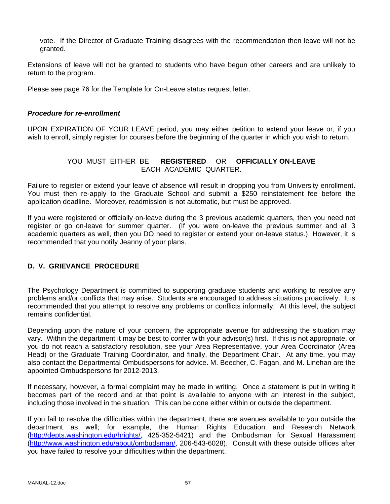vote. If the Director of Graduate Training disagrees with the recommendation then leave will not be granted.

Extensions of leave will not be granted to students who have begun other careers and are unlikely to return to the program.

Please see page 76 for the Template for On-Leave status request letter.

#### *Procedure for re-enrollment*

UPON EXPIRATION OF YOUR LEAVE period, you may either petition to extend your leave or, if you wish to enroll, simply register for courses before the beginning of the quarter in which you wish to return.

# YOU MUST EITHER BE **REGISTERED** OR **OFFICIALLY ON-LEAVE**  EACH ACADEMIC QUARTER.

Failure to register or extend your leave of absence will result in dropping you from University enrollment. You must then re-apply to the Graduate School and submit a \$250 reinstatement fee before the application deadline. Moreover, readmission is not automatic, but must be approved.

If you were registered or officially on-leave during the 3 previous academic quarters, then you need not register or go on-leave for summer quarter. (If you were on-leave the previous summer and all 3 academic quarters as well, then you DO need to register or extend your on-leave status.) However, it is recommended that you notify Jeanny of your plans.

# **D. V. GRIEVANCE PROCEDURE**

The Psychology Department is committed to supporting graduate students and working to resolve any problems and/or conflicts that may arise. Students are encouraged to address situations proactively. It is recommended that you attempt to resolve any problems or conflicts informally. At this level, the subject remains confidential.

Depending upon the nature of your concern, the appropriate avenue for addressing the situation may vary. Within the department it may be best to confer with your advisor(s) first. If this is not appropriate, or you do not reach a satisfactory resolution, see your Area Representative, your Area Coordinator (Area Head) or the Graduate Training Coordinator, and finally, the Department Chair. At any time, you may also contact the Departmental Ombudspersons for advice. M. Beecher, C. Fagan, and M. Linehan are the appointed Ombudspersons for 2012-2013.

If necessary, however, a formal complaint may be made in writing. Once a statement is put in writing it becomes part of the record and at that point is available to anyone with an interest in the subject, including those involved in the situation. This can be done either within or outside the department.

If you fail to resolve the difficulties within the department, there are avenues available to you outside the department as well; for example, the Human Rights Education and Research Network (http://depts.washington.edu/hrights/, 425-352-5421) and the Ombudsman for Sexual Harassment (http://www.washington.edu/about/ombudsman/, 206-543-6028). Consult with these outside offices after you have failed to resolve your difficulties within the department.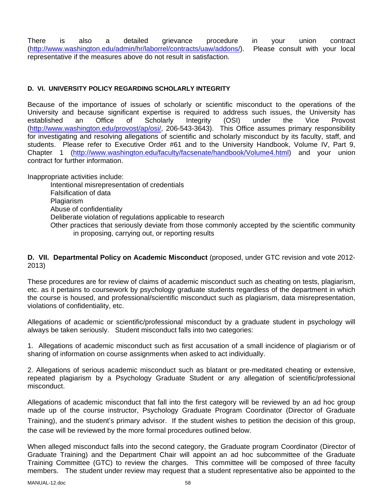There is also a detailed grievance procedure in your union contract (http://www.washington.edu/admin/hr/laborrel/contracts/uaw/addons/). Please consult with your local representative if the measures above do not result in satisfaction.

## **D. VI. UNIVERSITY POLICY REGARDING SCHOLARLY INTEGRITY**

Because of the importance of issues of scholarly or scientific misconduct to the operations of the University and because significant expertise is required to address such issues, the University has established an Office of Scholarly Integrity (OSI) under the Vice Provost (http://www.washington.edu/provost/ap/osi/, 206-543-3643). This Office assumes primary responsibility for investigating and resolving allegations of scientific and scholarly misconduct by its faculty, staff, and students. Please refer to Executive Order #61 and to the University Handbook, Volume IV, Part 9, Chapter 1 (http://www.washington.edu/faculty/facsenate/handbook/Volume4.html) and your union contract for further information.

Inappropriate activities include:

Intentional misrepresentation of credentials Falsification of data Plagiarism Abuse of confidentiality Deliberate violation of regulations applicable to research Other practices that seriously deviate from those commonly accepted by the scientific community in proposing, carrying out, or reporting results

**D. VII. Departmental Policy on Academic Misconduct** (proposed, under GTC revision and vote 2012- 2013)

These procedures are for review of claims of academic misconduct such as cheating on tests, plagiarism, etc. as it pertains to coursework by psychology graduate students regardless of the department in which the course is housed, and professional/scientific misconduct such as plagiarism, data misrepresentation, violations of confidentiality, etc.

Allegations of academic or scientific/professional misconduct by a graduate student in psychology will always be taken seriously. Student misconduct falls into two categories:

1. Allegations of academic misconduct such as first accusation of a small incidence of plagiarism or of sharing of information on course assignments when asked to act individually.

2. Allegations of serious academic misconduct such as blatant or pre-meditated cheating or extensive, repeated plagiarism by a Psychology Graduate Student or any allegation of scientific/professional misconduct.

Allegations of academic misconduct that fall into the first category will be reviewed by an ad hoc group made up of the course instructor, Psychology Graduate Program Coordinator (Director of Graduate Training), and the student's primary advisor. If the student wishes to petition the decision of this group, the case will be reviewed by the more formal procedures outlined below.

When alleged misconduct falls into the second category, the Graduate program Coordinator (Director of Graduate Training) and the Department Chair will appoint an ad hoc subcommittee of the Graduate Training Committee (GTC) to review the charges. This committee will be composed of three faculty members. The student under review may request that a student representative also be appointed to the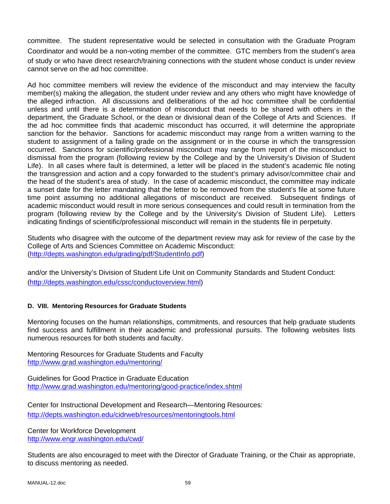committee. The student representative would be selected in consultation with the Graduate Program Coordinator and would be a non-voting member of the committee. GTC members from the student's area of study or who have direct research/training connections with the student whose conduct is under review cannot serve on the ad hoc committee.

Ad hoc committee members will review the evidence of the misconduct and may interview the faculty member(s) making the allegation, the student under review and any others who might have knowledge of the alleged infraction. All discussions and deliberations of the ad hoc committee shall be confidential unless and until there is a determination of misconduct that needs to be shared with others in the department, the Graduate School, or the dean or divisional dean of the College of Arts and Sciences. If the ad hoc committee finds that academic misconduct has occurred, it will determine the appropriate sanction for the behavior. Sanctions for academic misconduct may range from a written warning to the student to assignment of a failing grade on the assignment or in the course in which the transgression occurred. Sanctions for scientific/professional misconduct may range from report of the misconduct to dismissal from the program (following review by the College and by the University's Division of Student Life). In all cases where fault is determined, a letter will be placed in the student's academic file noting the transgression and action and a copy forwarded to the student's primary advisor/committee chair and the head of the student's area of study. In the case of academic misconduct, the committee may indicate a sunset date for the letter mandating that the letter to be removed from the student's file at some future time point assuming no additional allegations of misconduct are received. Subsequent findings of academic misconduct would result in more serious consequences and could result in termination from the program (following review by the College and by the University's Division of Student Life). Letters indicating findings of scientific/professional misconduct will remain in the students file in perpetuity.

Students who disagree with the outcome of the department review may ask for review of the case by the College of Arts and Sciences Committee on Academic Misconduct: (http://depts.washington.edu/grading/pdf/StudentInfo.pdf)

and/or the University's Division of Student Life Unit on Community Standards and Student Conduct: (http://depts.washington.edu/cssc/conductoverview.html)

# **D. VIII. Mentoring Resources for Graduate Students**

Mentoring focuses on the human relationships, commitments, and resources that help graduate students find success and fulfillment in their academic and professional pursuits. The following websites lists numerous resources for both students and faculty.

Mentoring Resources for Graduate Students and Faculty http://www.grad.washington.edu/mentoring/

Guidelines for Good Practice in Graduate Education http://www.grad.washington.edu/mentoring/good-practice/index.shtml

Center for Instructional Development and Research—Mentoring Resources: http://depts.washington.edu/cidrweb/resources/mentoringtools.html

Center for Workforce Development http://www.engr.washington.edu/cwd/

Students are also encouraged to meet with the Director of Graduate Training, or the Chair as appropriate, to discuss mentoring as needed.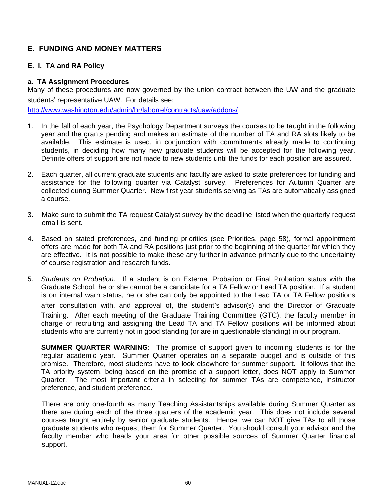# **E. FUNDING AND MONEY MATTERS**

## **E. I. TA and RA Policy**

#### **a. TA Assignment Procedures**

Many of these procedures are now governed by the union contract between the UW and the graduate students' representative UAW. For details see:

http://www.washington.edu/admin/hr/laborrel/contracts/uaw/addons/

- 1. In the fall of each year, the Psychology Department surveys the courses to be taught in the following year and the grants pending and makes an estimate of the number of TA and RA slots likely to be available. This estimate is used, in conjunction with commitments already made to continuing students, in deciding how many new graduate students will be accepted for the following year. Definite offers of support are not made to new students until the funds for each position are assured.
- 2. Each quarter, all current graduate students and faculty are asked to state preferences for funding and assistance for the following quarter via Catalyst survey. Preferences for Autumn Quarter are collected during Summer Quarter. New first year students serving as TAs are automatically assigned a course.
- 3. Make sure to submit the TA request Catalyst survey by the deadline listed when the quarterly request email is sent.
- 4. Based on stated preferences, and funding priorities (see Priorities, page 58), formal appointment offers are made for both TA and RA positions just prior to the beginning of the quarter for which they are effective. It is not possible to make these any further in advance primarily due to the uncertainty of course registration and research funds.
- 5. *Students on Probation.* If a student is on External Probation or Final Probation status with the Graduate School, he or she cannot be a candidate for a TA Fellow or Lead TA position. If a student is on internal warn status, he or she can only be appointed to the Lead TA or TA Fellow positions after consultation with, and approval of, the student's advisor(s) and the Director of Graduate Training. After each meeting of the Graduate Training Committee (GTC), the faculty member in charge of recruiting and assigning the Lead TA and TA Fellow positions will be informed about students who are currently not in good standing (or are in questionable standing) in our program.

**SUMMER QUARTER WARNING**: The promise of support given to incoming students is for the regular academic year. Summer Quarter operates on a separate budget and is outside of this promise. Therefore, most students have to look elsewhere for summer support. It follows that the TA priority system, being based on the promise of a support letter, does NOT apply to Summer Quarter. The most important criteria in selecting for summer TAs are competence, instructor preference, and student preference.

There are only one-fourth as many Teaching Assistantships available during Summer Quarter as there are during each of the three quarters of the academic year. This does not include several courses taught entirely by senior graduate students. Hence, we can NOT give TAs to all those graduate students who request them for Summer Quarter. You should consult your advisor and the faculty member who heads your area for other possible sources of Summer Quarter financial support.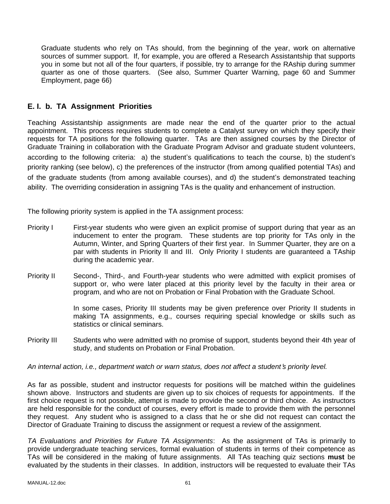Graduate students who rely on TAs should, from the beginning of the year, work on alternative sources of summer support. If, for example, you are offered a Research Assistantship that supports you in some but not all of the four quarters, if possible, try to arrange for the RAship during summer quarter as one of those quarters. (See also, Summer Quarter Warning, page 60 and Summer Employment, page 66)

# **E. I. b. TA Assignment Priorities**

Teaching Assistantship assignments are made near the end of the quarter prior to the actual appointment. This process requires students to complete a Catalyst survey on which they specify their requests for TA positions for the following quarter. TAs are then assigned courses by the Director of Graduate Training in collaboration with the Graduate Program Advisor and graduate student volunteers, according to the following criteria: a) the student's qualifications to teach the course, b) the student's priority ranking (see below), c) the preferences of the instructor (from among qualified potential TAs) and of the graduate students (from among available courses), and d) the student's demonstrated teaching ability. The overriding consideration in assigning TAs is the quality and enhancement of instruction.

The following priority system is applied in the TA assignment process:

- Priority I First-year students who were given an explicit promise of support during that year as an inducement to enter the program. These students are top priority for TAs only in the Autumn, Winter, and Spring Quarters of their first year. In Summer Quarter, they are on a par with students in Priority II and III. Only Priority I students are guaranteed a TAship during the academic year.
- Priority II Second-, Third-, and Fourth-year students who were admitted with explicit promises of support or, who were later placed at this priority level by the faculty in their area or program, and who are not on Probation or Final Probation with the Graduate School.

In some cases, Priority III students may be given preference over Priority II students in making TA assignments, e.g., courses requiring special knowledge or skills such as statistics or clinical seminars.

Priority III Students who were admitted with no promise of support, students beyond their 4th year of study, and students on Probation or Final Probation.

*An internal action, i.e., department watch or warn status, does not affect a student*'*s priority level.* 

As far as possible, student and instructor requests for positions will be matched within the guidelines shown above. Instructors and students are given up to six choices of requests for appointments. If the first choice request is not possible, attempt is made to provide the second or third choice. As instructors are held responsible for the conduct of courses, every effort is made to provide them with the personnel they request. Any student who is assigned to a class that he or she did not request can contact the Director of Graduate Training to discuss the assignment or request a review of the assignment.

*TA Evaluations and Priorities for Future TA Assignments*: As the assignment of TAs is primarily to provide undergraduate teaching services, formal evaluation of students in terms of their competence as TAs will be considered in the making of future assignments. All TAs teaching quiz sections **must** be evaluated by the students in their classes. In addition, instructors will be requested to evaluate their TAs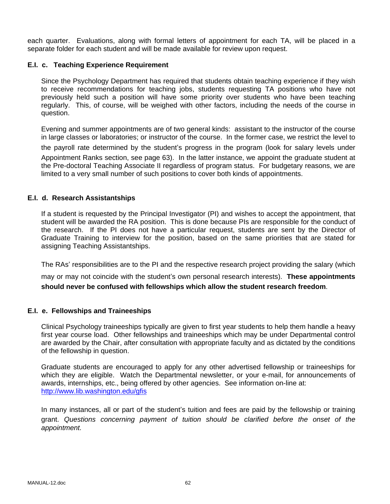each quarter. Evaluations, along with formal letters of appointment for each TA, will be placed in a separate folder for each student and will be made available for review upon request.

## **E.I. c. Teaching Experience Requirement**

Since the Psychology Department has required that students obtain teaching experience if they wish to receive recommendations for teaching jobs, students requesting TA positions who have not previously held such a position will have some priority over students who have been teaching regularly. This, of course, will be weighed with other factors, including the needs of the course in question.

Evening and summer appointments are of two general kinds: assistant to the instructor of the course in large classes or laboratories; or instructor of the course. In the former case, we restrict the level to

the payroll rate determined by the student's progress in the program (look for salary levels under Appointment Ranks section, see page 63). In the latter instance, we appoint the graduate student at the Pre-doctoral Teaching Associate II regardless of program status. For budgetary reasons, we are limited to a very small number of such positions to cover both kinds of appointments.

## **E.I. d. Research Assistantships**

If a student is requested by the Principal Investigator (PI) and wishes to accept the appointment, that student will be awarded the RA position. This is done because PIs are responsible for the conduct of the research. If the PI does not have a particular request, students are sent by the Director of Graduate Training to interview for the position, based on the same priorities that are stated for assigning Teaching Assistantships.

The RAs' responsibilities are to the PI and the respective research project providing the salary (which

may or may not coincide with the student's own personal research interests). **These appointments should never be confused with fellowships which allow the student research freedom**.

#### **E.I. e. Fellowships and Traineeships**

Clinical Psychology traineeships typically are given to first year students to help them handle a heavy first year course load. Other fellowships and traineeships which may be under Departmental control are awarded by the Chair, after consultation with appropriate faculty and as dictated by the conditions of the fellowship in question.

Graduate students are encouraged to apply for any other advertised fellowship or traineeships for which they are eligible. Watch the Departmental newsletter, or your e-mail, for announcements of awards, internships, etc., being offered by other agencies. See information on-line at: http://www.lib.washington.edu/gfis

In many instances, all or part of the student's tuition and fees are paid by the fellowship or training grant. *Questions concerning payment of tuition should be clarified before the onset of the appointment.*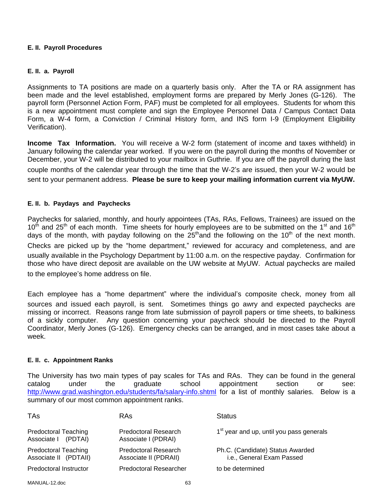#### **E. II. Payroll Procedures**

#### **E. II. a. Payroll**

Assignments to TA positions are made on a quarterly basis only. After the TA or RA assignment has been made and the level established, employment forms are prepared by Merly Jones (G-126). The payroll form (Personnel Action Form, PAF) must be completed for all employees. Students for whom this is a new appointment must complete and sign the Employee Personnel Data / Campus Contact Data Form, a W-4 form, a Conviction / Criminal History form, and INS form I-9 (Employment Eligibility Verification).

**Income Tax Information.** You will receive a W-2 form (statement of income and taxes withheld) in January following the calendar year worked. If you were on the payroll during the months of November or December, your W-2 will be distributed to your mailbox in Guthrie. If you are off the payroll during the last couple months of the calendar year through the time that the W-2's are issued, then your W-2 would be sent to your permanent address. **Please be sure to keep your mailing information current via MyUW.** 

#### **E. II. b. Paydays and Paychecks**

Paychecks for salaried, monthly, and hourly appointees (TAs, RAs, Fellows, Trainees) are issued on the  $10<sup>th</sup>$  and 25<sup>th</sup> of each month. Time sheets for hourly employees are to be submitted on the 1<sup>st</sup> and 16<sup>th</sup> days of the month, with payday following on the  $25<sup>th</sup>$  and the following on the 10<sup>th</sup> of the next month. Checks are picked up by the "home department," reviewed for accuracy and completeness, and are usually available in the Psychology Department by 11:00 a.m. on the respective payday. Confirmation for those who have direct deposit are available on the UW website at MyUW. Actual paychecks are mailed to the employee's home address on file.

Each employee has a "home department" where the individual's composite check, money from all sources and issued each payroll, is sent. Sometimes things go awry and expected paychecks are missing or incorrect. Reasons range from late submission of payroll papers or time sheets, to balkiness of a sickly computer. Any question concerning your paycheck should be directed to the Payroll Coordinator, Merly Jones (G-126). Emergency checks can be arranged, and in most cases take about a week.

#### **E. II. c. Appointment Ranks**

The University has two main types of pay scales for TAs and RAs. They can be found in the general catalog under the graduate school appointment section or see: http://www.grad.washington.edu/students/fa/salary-info.shtml for a list of monthly salaries. Below is a summary of our most common appointment ranks.

| <b>TAs</b>                                           | <b>RAs</b>                                    | <b>Status</b>                                                 |
|------------------------------------------------------|-----------------------------------------------|---------------------------------------------------------------|
| <b>Predoctoral Teaching</b><br>Associate   (PDTAI)   | Predoctoral Research<br>Associate I (PDRAI)   | 1 <sup>st</sup> year and up, until you pass generals          |
| <b>Predoctoral Teaching</b><br>Associate II (PDTAII) | Predoctoral Research<br>Associate II (PDRAII) | Ph.C. (Candidate) Status Awarded<br>i.e., General Exam Passed |
| Predoctoral Instructor                               | <b>Predoctoral Researcher</b>                 | to be determined                                              |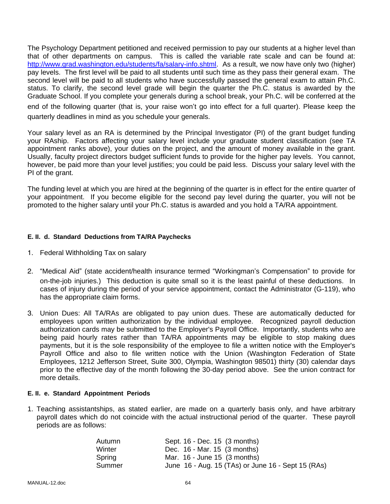The Psychology Department petitioned and received permission to pay our students at a higher level than that of other departments on campus. This is called the variable rate scale and can be found at: http://www.grad.washington.edu/students/fa/salary-info.shtml. As a result, we now have only two (higher) pay levels. The first level will be paid to all students until such time as they pass their general exam. The second level will be paid to all students who have successfully passed the general exam to attain Ph.C. status. To clarify, the second level grade will begin the quarter the Ph.C. status is awarded by the Graduate School. If you complete your generals during a school break, your Ph.C. will be conferred at the end of the following quarter (that is, your raise won't go into effect for a full quarter). Please keep the quarterly deadlines in mind as you schedule your generals.

Your salary level as an RA is determined by the Principal Investigator (PI) of the grant budget funding your RAship. Factors affecting your salary level include your graduate student classification (see TA appointment ranks above), your duties on the project, and the amount of money available in the grant. Usually, faculty project directors budget sufficient funds to provide for the higher pay levels. You cannot, however, be paid more than your level justifies; you could be paid less. Discuss your salary level with the PI of the grant.

The funding level at which you are hired at the beginning of the quarter is in effect for the entire quarter of your appointment. If you become eligible for the second pay level during the quarter, you will not be promoted to the higher salary until your Ph.C. status is awarded and you hold a TA/RA appointment.

#### **E. II. d. Standard Deductions from TA/RA Paychecks**

- 1. Federal Withholding Tax on salary
- 2. "Medical Aid" (state accident/health insurance termed "Workingman's Compensation" to provide for on-the-job injuries.) This deduction is quite small so it is the least painful of these deductions. In cases of injury during the period of your service appointment, contact the Administrator (G-119), who has the appropriate claim forms.
- 3. Union Dues: All TA/RAs are obligated to pay union dues. These are automatically deducted for employees upon written authorization by the individual employee. Recognized payroll deduction authorization cards may be submitted to the Employer's Payroll Office. Importantly, students who are being paid hourly rates rather than TA/RA appointments may be eligible to stop making dues payments, but it is the sole responsibility of the employee to file a written notice with the Employer's Payroll Office and also to file written notice with the Union (Washington Federation of State Employees, 1212 Jefferson Street, Suite 300, Olympia, Washington 98501) thirty (30) calendar days prior to the effective day of the month following the 30-day period above. See the union contract for more details.

#### **E. II. e. Standard Appointment Periods**

1. Teaching assistantships, as stated earlier, are made on a quarterly basis only, and have arbitrary payroll dates which do not coincide with the actual instructional period of the quarter. These payroll periods are as follows:

| Sept. 16 - Dec. 15 (3 months)                      |
|----------------------------------------------------|
| Dec. 16 - Mar. 15 (3 months)                       |
| Mar. $16$ - June 15 $(3$ months)                   |
| June 16 - Aug. 15 (TAs) or June 16 - Sept 15 (RAs) |
|                                                    |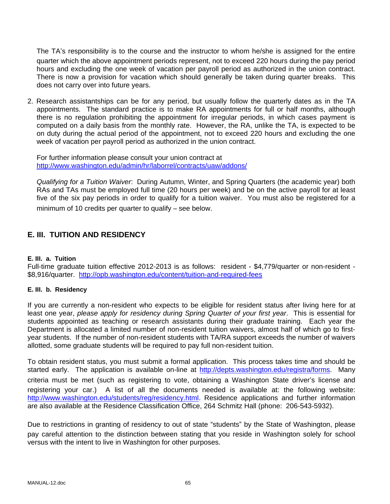The TA's responsibility is to the course and the instructor to whom he/she is assigned for the entire quarter which the above appointment periods represent, not to exceed 220 hours during the pay period hours and excluding the one week of vacation per payroll period as authorized in the union contract. There is now a provision for vacation which should generally be taken during quarter breaks. This does not carry over into future years.

2. Research assistantships can be for any period, but usually follow the quarterly dates as in the TA appointments. The standard practice is to make RA appointments for full or half months, although there is no regulation prohibiting the appointment for irregular periods, in which cases payment is computed on a daily basis from the monthly rate. However, the RA, unlike the TA, is expected to be on duty during the actual period of the appointment, not to exceed 220 hours and excluding the one week of vacation per payroll period as authorized in the union contract.

For further information please consult your union contract at http://www.washington.edu/admin/hr/laborrel/contracts/uaw/addons/

*Qualifying for a Tuition Waiver*: During Autumn, Winter, and Spring Quarters (the academic year) both RAs and TAs must be employed full time (20 hours per week) and be on the active payroll for at least five of the six pay periods in order to qualify for a tuition waiver. You must also be registered for a minimum of 10 credits per quarter to qualify – see below.

# **E. III. TUITION AND RESIDENCY**

#### **E. III. a. Tuition**

Full-time graduate tuition effective 2012-2013 is as follows: resident - \$4,779/quarter or non-resident - \$8,916/quarter. http://opb.washington.edu/content/tuition-and-required-fees

# **E. III. b. Residency**

If you are currently a non-resident who expects to be eligible for resident status after living here for at least one year, *please apply for residency during Spring Quarter of your first year*. This is essential for students appointed as teaching or research assistants during their graduate training. Each year the Department is allocated a limited number of non-resident tuition waivers, almost half of which go to firstyear students. If the number of non-resident students with TA/RA support exceeds the number of waivers allotted, some graduate students will be required to pay full non-resident tuition.

To obtain resident status, you must submit a formal application. This process takes time and should be started early. The application is available on-line at http://depts.washington.edu/registra/forms. Many criteria must be met (such as registering to vote, obtaining a Washington State driver's license and registering your car.) A list of all the documents needed is available at: the following website: http://www.washington.edu/students/reg/residency.html. Residence applications and further information are also available at the Residence Classification Office, 264 Schmitz Hall (phone: 206-543-5932).

Due to restrictions in granting of residency to out of state "students" by the State of Washington, please pay careful attention to the distinction between stating that you reside in Washington solely for school versus with the intent to live in Washington for other purposes.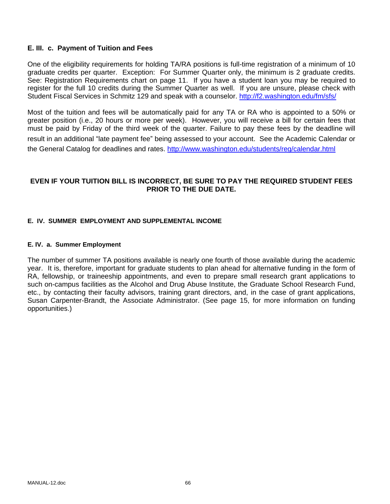## **E. III. c. Payment of Tuition and Fees**

One of the eligibility requirements for holding TA/RA positions is full-time registration of a minimum of 10 graduate credits per quarter. Exception: For Summer Quarter only, the minimum is 2 graduate credits. See: Registration Requirements chart on page 11. If you have a student loan you may be required to register for the full 10 credits during the Summer Quarter as well. If you are unsure, please check with Student Fiscal Services in Schmitz 129 and speak with a counselor. http://f2.washington.edu/fm/sfs/

Most of the tuition and fees will be automatically paid for any TA or RA who is appointed to a 50% or greater position (i.e., 20 hours or more per week). However, you will receive a bill for certain fees that must be paid by Friday of the third week of the quarter. Failure to pay these fees by the deadline will result in an additional "late payment fee" being assessed to your account. See the Academic Calendar or the General Catalog for deadlines and rates. http://www.washington.edu/students/reg/calendar.html

## **EVEN IF YOUR TUITION BILL IS INCORRECT, BE SURE TO PAY THE REQUIRED STUDENT FEES PRIOR TO THE DUE DATE.**

## **E. IV. SUMMER EMPLOYMENT AND SUPPLEMENTAL INCOME**

#### **E. IV. a. Summer Employment**

The number of summer TA positions available is nearly one fourth of those available during the academic year. It is, therefore, important for graduate students to plan ahead for alternative funding in the form of RA, fellowship, or traineeship appointments, and even to prepare small research grant applications to such on-campus facilities as the Alcohol and Drug Abuse Institute, the Graduate School Research Fund, etc., by contacting their faculty advisors, training grant directors, and, in the case of grant applications, Susan Carpenter-Brandt, the Associate Administrator. (See page 15, for more information on funding opportunities.)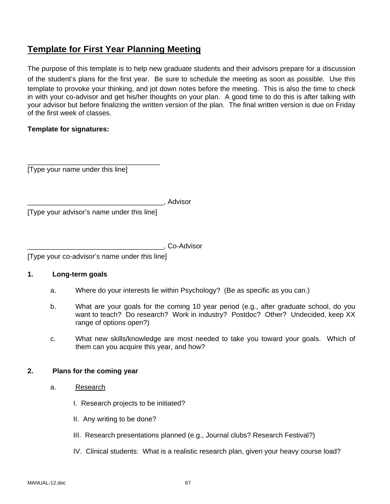# **Template for First Year Planning Meeting**

The purpose of this template is to help new graduate students and their advisors prepare for a discussion of the student's plans for the first year. Be sure to schedule the meeting as soon as possible. Use this template to provoke your thinking, and jot down notes before the meeting. This is also the time to check in with your co-advisor and get his/her thoughts on your plan. A good time to do this is after talking with your advisor but before finalizing the written version of the plan. The final written version is due on Friday of the first week of classes.

## **Template for signatures:**

[Type your name under this line]

\_\_\_\_\_\_\_\_\_\_\_\_\_\_\_\_\_\_\_\_\_\_\_\_\_\_\_\_\_\_\_\_\_\_

\_\_\_\_\_\_\_\_\_\_\_\_\_\_\_\_\_\_\_\_\_\_\_\_\_\_\_\_\_\_\_\_\_\_\_, Advisor [Type your advisor's name under this line]

\_\_\_\_\_\_\_\_\_\_\_\_\_\_\_\_\_\_\_\_\_\_\_\_\_\_\_\_\_\_\_\_\_\_\_, Co-Advisor

[Type your co-advisor's name under this line]

#### **1. Long-term goals**

- a. Where do your interests lie within Psychology? (Be as specific as you can.)
- b. What are your goals for the coming 10 year period (e.g., after graduate school, do you want to teach? Do research? Work in industry? Postdoc? Other? Undecided, keep XX range of options open?)
- c. What new skills/knowledge are most needed to take you toward your goals. Which of them can you acquire this year, and how?

#### **2. Plans for the coming year**

- a. Research
	- I. Research projects to be initiated?
	- II. Any writing to be done?
	- III. Research presentations planned (e.g., Journal clubs? Research Festival?)
	- IV. Clinical students: What is a realistic research plan, given your heavy course load?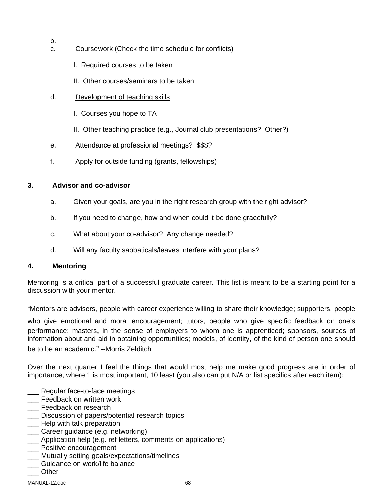- c. Coursework (Check the time schedule for conflicts)
	- I. Required courses to be taken
	- II. Other courses/seminars to be taken
- d. Development of teaching skills
	- I. Courses you hope to TA
	- II. Other teaching practice (e.g., Journal club presentations? Other?)
- e. Attendance at professional meetings? \$\$\$?
- f. Apply for outside funding (grants, fellowships)

# **3. Advisor and co-advisor**

- a. Given your goals, are you in the right research group with the right advisor?
- b. If you need to change, how and when could it be done gracefully?
- c. What about your co-advisor? Any change needed?
- d. Will any faculty sabbaticals/leaves interfere with your plans?

# **4. Mentoring**

b.

Mentoring is a critical part of a successful graduate career. This list is meant to be a starting point for a discussion with your mentor.

"Mentors are advisers, people with career experience willing to share their knowledge; supporters, people

who give emotional and moral encouragement; tutors, people who give specific feedback on one's performance; masters, in the sense of employers to whom one is apprenticed; sponsors, sources of information about and aid in obtaining opportunities; models, of identity, of the kind of person one should be to be an academic." --Morris Zelditch

Over the next quarter I feel the things that would most help me make good progress are in order of importance, where 1 is most important, 10 least (you also can put N/A or list specifics after each item):

- \_\_\_ Regular face-to-face meetings
- Feedback on written work
- Feedback on research
- **\_\_\_** Discussion of papers/potential research topics
- **\_\_\_** Help with talk preparation
- \_\_\_ Career guidance (e.g. networking)
- \_\_\_ Application help (e.g. ref letters, comments on applications)
- Positive encouragement
- Mutually setting goals/expectations/timelines
- \_\_\_ Guidance on work/life balance
- \_\_\_ Other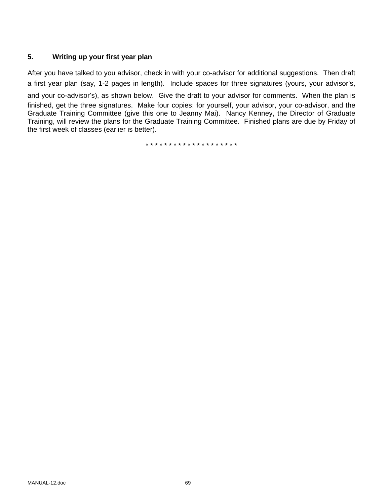# **5. Writing up your first year plan**

After you have talked to you advisor, check in with your co-advisor for additional suggestions. Then draft a first year plan (say, 1-2 pages in length). Include spaces for three signatures (yours, your advisor's, and your co-advisor's), as shown below. Give the draft to your advisor for comments. When the plan is finished, get the three signatures. Make four copies: for yourself, your advisor, your co-advisor, and the Graduate Training Committee (give this one to Jeanny Mai). Nancy Kenney, the Director of Graduate Training, will review the plans for the Graduate Training Committee. Finished plans are due by Friday of the first week of classes (earlier is better).

\* \* \* \* \* \* \* \* \* \* \* \* \* \* \* \* \* \* \* \*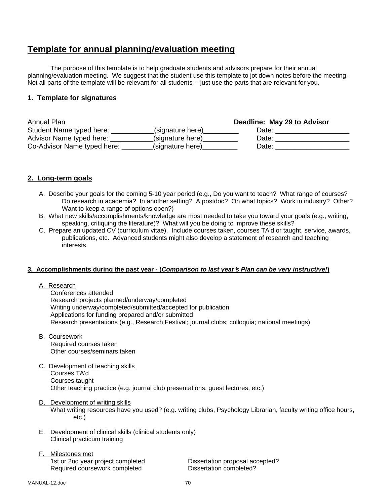# **Template for annual planning/evaluation meeting**

The purpose of this template is to help graduate students and advisors prepare for their annual planning/evaluation meeting. We suggest that the student use this template to jot down notes before the meeting. Not all parts of the template will be relevant for all students -- just use the parts that are relevant for you.

## **1. Template for signatures**

| <b>Annual Plan</b>          |                  | Deadline: May 29 to Advisor |
|-----------------------------|------------------|-----------------------------|
| Student Name typed here:    | (signature here) | Date:                       |
| Advisor Name typed here:    | (signature here) | Date:                       |
| Co-Advisor Name typed here: | (signature here) | Date:                       |

## **2. Long-term goals**

- A. Describe your goals for the coming 5-10 year period (e.g., Do you want to teach? What range of courses? Do research in academia? In another setting? A postdoc? On what topics? Work in industry? Other? Want to keep a range of options open?)
- B. What new skills/accomplishments/knowledge are most needed to take you toward your goals (e.g., writing, speaking, critiquing the literature)? What will you be doing to improve these skills?
- C. Prepare an updated CV (curriculum vitae). Include courses taken, courses TA'd or taught, service, awards, publications, etc. Advanced students might also develop a statement of research and teaching interests.

#### **3. Accomplishments during the past year - (***Comparison to last year*'*s Plan can be very instructive!***)**

#### A. Research

 Conferences attended Research projects planned/underway/completed Writing underway/completed/submitted/accepted for publication Applications for funding prepared and/or submitted Research presentations (e.g., Research Festival; journal clubs; colloquia; national meetings)

B. Coursework

 Required courses taken Other courses/seminars taken

- C. Development of teaching skills Courses TA'd Courses taught Other teaching practice (e.g. journal club presentations, guest lectures, etc.)
- D. Development of writing skills

 What writing resources have you used? (e.g. writing clubs, Psychology Librarian, faculty writing office hours, etc.)

- E. Development of clinical skills (clinical students only) Clinical practicum training
- F. Milestones met 1st or 2nd year project completed Dissertation proposal accepted? Required coursework completed Dissertation completed?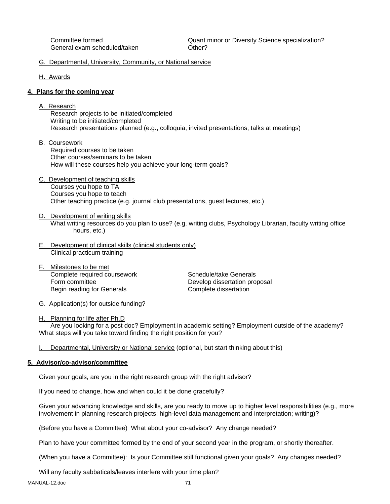General exam scheduled/taken **Communists** Other?

Committee formed Quant minor or Diversity Science specialization?

#### G. Departmental, University, Community, or National service

H. Awards

#### **4. Plans for the coming year**

A. Research

 Research projects to be initiated/completed Writing to be initiated/completed Research presentations planned (e.g., colloquia; invited presentations; talks at meetings)

B. Coursework

 Required courses to be taken Other courses/seminars to be taken How will these courses help you achieve your long-term goals?

- C. Development of teaching skills Courses you hope to TA Courses you hope to teach Other teaching practice (e.g. journal club presentations, guest lectures, etc.)
- D. Development of writing skills What writing resources do you plan to use? (e.g. writing clubs, Psychology Librarian, faculty writing office hours, etc.)
- E. Development of clinical skills (clinical students only) Clinical practicum training
- F. Milestones to be met Complete required coursework Schedule/take Generals Begin reading for Generals

Form committee **Develop dissertation proposal**<br>
Begin reading for Generals<br>
Complete dissertation

- G. Application(s) for outside funding?
- H. Planning for life after Ph.D

 Are you looking for a post doc? Employment in academic setting? Employment outside of the academy? What steps will you take toward finding the right position for you?

Departmental, University or National service (optional, but start thinking about this)

#### **5. Advisor/co-advisor/committee**

Given your goals, are you in the right research group with the right advisor?

If you need to change, how and when could it be done gracefully?

Given your advancing knowledge and skills, are you ready to move up to higher level responsibilities (e.g., more involvement in planning research projects; high-level data management and interpretation; writing)?

(Before you have a Committee) What about your co-advisor? Any change needed?

Plan to have your committee formed by the end of your second year in the program, or shortly thereafter.

(When you have a Committee): Is your Committee still functional given your goals? Any changes needed?

#### Will any faculty sabbaticals/leaves interfere with your time plan?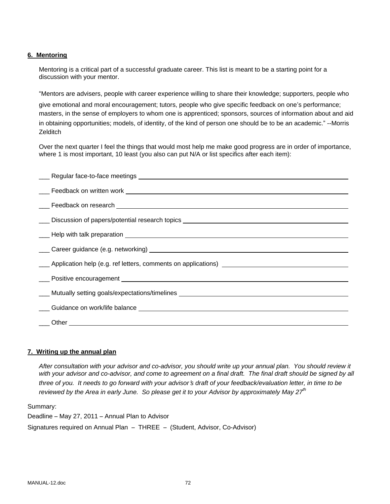#### **6. Mentoring**

Mentoring is a critical part of a successful graduate career. This list is meant to be a starting point for a discussion with your mentor.

"Mentors are advisers, people with career experience willing to share their knowledge; supporters, people who

give emotional and moral encouragement; tutors, people who give specific feedback on one's performance; masters, in the sense of employers to whom one is apprenticed; sponsors, sources of information about and aid in obtaining opportunities; models, of identity, of the kind of person one should be to be an academic." --Morris Zelditch

Over the next quarter I feel the things that would most help me make good progress are in order of importance, where 1 is most important, 10 least (you also can put N/A or list specifics after each item):

| <u>__</u> _ Discussion of papers/potential research topics __________________________________ |
|-----------------------------------------------------------------------------------------------|
|                                                                                               |
|                                                                                               |
|                                                                                               |
|                                                                                               |
|                                                                                               |
| ____ Mutually setting goals/expectations/timelines _____________________________              |
|                                                                                               |
|                                                                                               |

#### **7. Writing up the annual plan**

*After consultation with your advisor and co-advisor, you should write up your annual plan. You should review it*  with your advisor and co-advisor, and come to agreement on a final draft. The final draft should be signed by all *three of you. It needs to go forward with your advisor*'*s draft of your feedback/evaluation letter, in time to be reviewed by the Area in early June. So please get it to your Advisor by approximately May 27th* 

Summary:

Deadline – May 27, 2011 – Annual Plan to Advisor Signatures required on Annual Plan – THREE – (Student, Advisor, Co-Advisor)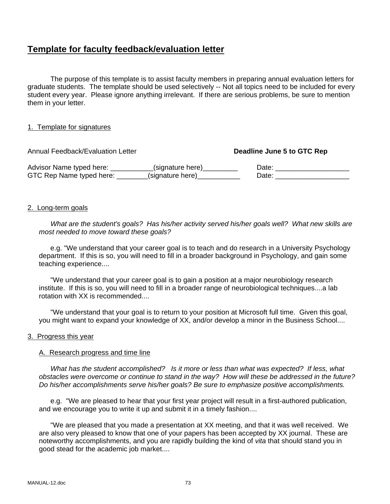# **Template for faculty feedback/evaluation letter**

 The purpose of this template is to assist faculty members in preparing annual evaluation letters for graduate students. The template should be used selectively -- Not all topics need to be included for every student every year. Please ignore anything irrelevant. If there are serious problems, be sure to mention them in your letter.

#### 1. Template for signatures

Annual Feedback/Evaluation Letter **Deadline June 5 to GTC Rep**  Advisor Name typed here: \_\_\_\_\_\_\_\_\_\_\_(signature here)\_\_\_\_\_\_\_\_\_\_\_\_\_\_\_\_\_\_\_\_\_Date: \_\_\_\_\_\_\_\_\_\_\_\_\_\_\_\_\_\_\_\_\_\_\_\_\_\_\_\_\_\_\_ GTC Rep Name typed here: \_\_\_\_\_\_\_\_(signature here) \_\_\_\_\_\_\_\_\_\_\_\_\_\_ Date: \_\_\_\_\_\_\_\_\_

#### 2. Long-term goals

 *What are the student's goals? Has his/her activity served his/her goals well? What new skills are most needed to move toward these goals?* 

e.g. "We understand that your career goal is to teach and do research in a University Psychology department. If this is so, you will need to fill in a broader background in Psychology, and gain some teaching experience....

 "We understand that your career goal is to gain a position at a major neurobiology research institute. If this is so, you will need to fill in a broader range of neurobiological techniques....a lab rotation with XX is recommended....

 "We understand that your goal is to return to your position at Microsoft full time. Given this goal, you might want to expand your knowledge of XX, and/or develop a minor in the Business School....

#### 3. Progress this year

#### A. Research progress and time line

 *What has the student accomplished? Is it more or less than what was expected? If less, what obstacles were overcome or continue to stand in the way? How will these be addressed in the future? Do his/her accomplishments serve his/her goals? Be sure to emphasize positive accomplishments.* 

 e.g. "We are pleased to hear that your first year project will result in a first-authored publication, and we encourage you to write it up and submit it in a timely fashion....

 "We are pleased that you made a presentation at XX meeting, and that it was well received. We are also very pleased to know that one of your papers has been accepted by XX journal. These are noteworthy accomplishments, and you are rapidly building the kind of *vita* that should stand you in good stead for the academic job market....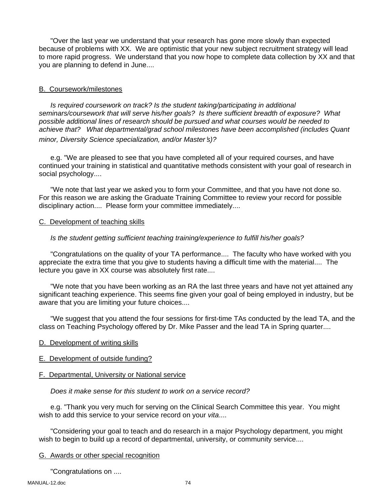"Over the last year we understand that your research has gone more slowly than expected because of problems with XX. We are optimistic that your new subject recruitment strategy will lead to more rapid progress. We understand that you now hope to complete data collection by XX and that you are planning to defend in June....

## B. Coursework/milestones

 *Is required coursework on track? Is the student taking/participating in additional seminars/coursework that will serve his/her goals? Is there sufficient breadth of exposure? What possible additional lines of research should be pursued and what courses would be needed to achieve that? What departmental/grad school milestones have been accomplished (includes Quant minor, Diversity Science specialization, and/or Master*'*s)?* 

 e.g. "We are pleased to see that you have completed all of your required courses, and have continued your training in statistical and quantitative methods consistent with your goal of research in social psychology....

 "We note that last year we asked you to form your Committee, and that you have not done so. For this reason we are asking the Graduate Training Committee to review your record for possible disciplinary action.... Please form your committee immediately....

#### C. Development of teaching skills

## *Is the student getting sufficient teaching training/experience to fulfill his/her goals?*

 "Congratulations on the quality of your TA performance.... The faculty who have worked with you appreciate the extra time that you give to students having a difficult time with the material.... The lecture you gave in XX course was absolutely first rate....

 "We note that you have been working as an RA the last three years and have not yet attained any significant teaching experience. This seems fine given your goal of being employed in industry, but be aware that you are limiting your future choices....

 "We suggest that you attend the four sessions for first-time TAs conducted by the lead TA, and the class on Teaching Psychology offered by Dr. Mike Passer and the lead TA in Spring quarter....

- D. Development of writing skills
- E. Development of outside funding?

#### F. Departmental, University or National service

 *Does it make sense for this student to work on a service record?* 

 e.g. "Thank you very much for serving on the Clinical Search Committee this year. You might wish to add this service to your service record on your *vita*....

 "Considering your goal to teach and do research in a major Psychology department, you might wish to begin to build up a record of departmental, university, or community service....

### G. Awards or other special recognition

"Congratulations on ....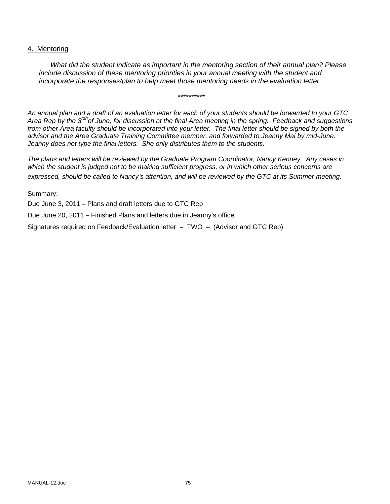#### 4. Mentoring

*What did the student indicate as important in the mentoring section of their annual plan? Please include discussion of these mentoring priorities in your annual meeting with the student and incorporate the responses/plan to help meet those mentoring needs in the evaluation letter.* 

\*\*\*\*\*\*\*\*\*\*

*An annual plan and a draft of an evaluation letter for each of your students should be forwarded to your GTC Area Rep by the 3rdhof June, for discussion at the final Area meeting in the spring. Feedback and suggestions*  from other Area faculty should be incorporated into your letter. The final letter should be signed by both the *advisor and the Area Graduate Training Committee member, and forwarded to Jeanny Mai by mid-June. Jeanny does not type the final letters. She only distributes them to the students.* 

*The plans and letters will be reviewed by the Graduate Program Coordinator, Nancy Kenney. Any cases in which the student is judged not to be making sufficient progress, or in which other serious concerns are expressed, should be called to Nancy*'*s attention, and will be reviewed by the GTC at its Summer meeting.* 

Summary:

Due June 3, 2011 – Plans and draft letters due to GTC Rep

Due June 20, 2011 – Finished Plans and letters due in Jeanny's office

Signatures required on Feedback/Evaluation letter – TWO – (Advisor and GTC Rep)